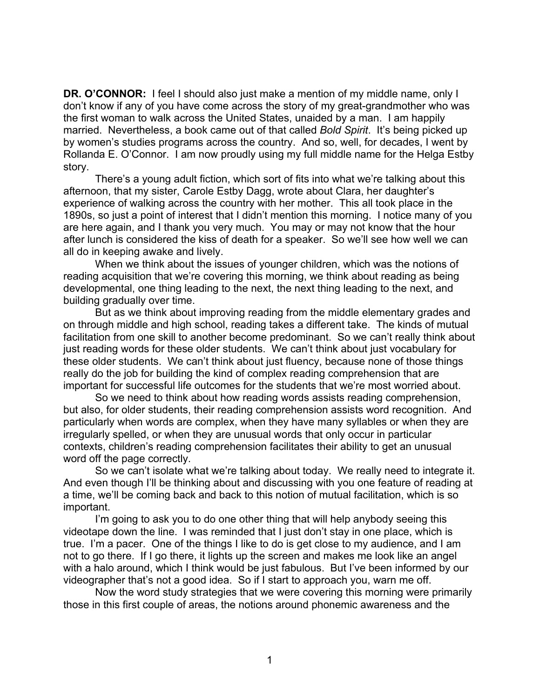**DR. O'CONNOR:** I feel I should also just make a mention of my middle name, only I don't know if any of you have come across the story of my great-grandmother who was the first woman to walk across the United States, unaided by a man. I am happily married. Nevertheless, a book came out of that called *Bold Spirit*. It's being picked up by women's studies programs across the country. And so, well, for decades, I went by Rollanda E. O'Connor. I am now proudly using my full middle name for the Helga Estby story.

There's a young adult fiction, which sort of fits into what we're talking about this afternoon, that my sister, Carole Estby Dagg, wrote about Clara, her daughter's experience of walking across the country with her mother. This all took place in the 1890s, so just a point of interest that I didn't mention this morning. I notice many of you are here again, and I thank you very much. You may or may not know that the hour after lunch is considered the kiss of death for a speaker. So we'll see how well we can all do in keeping awake and lively.

When we think about the issues of younger children, which was the notions of reading acquisition that we're covering this morning, we think about reading as being developmental, one thing leading to the next, the next thing leading to the next, and building gradually over time.

But as we think about improving reading from the middle elementary grades and on through middle and high school, reading takes a different take. The kinds of mutual facilitation from one skill to another become predominant. So we can't really think about just reading words for these older students. We can't think about just vocabulary for these older students. We can't think about just fluency, because none of those things really do the job for building the kind of complex reading comprehension that are important for successful life outcomes for the students that we're most worried about.

So we need to think about how reading words assists reading comprehension, but also, for older students, their reading comprehension assists word recognition. And particularly when words are complex, when they have many syllables or when they are irregularly spelled, or when they are unusual words that only occur in particular contexts, children's reading comprehension facilitates their ability to get an unusual word off the page correctly.

So we can't isolate what we're talking about today. We really need to integrate it. And even though I'll be thinking about and discussing with you one feature of reading at a time, we'll be coming back and back to this notion of mutual facilitation, which is so important.

I'm going to ask you to do one other thing that will help anybody seeing this videotape down the line. I was reminded that I just don't stay in one place, which is true. I'm a pacer. One of the things I like to do is get close to my audience, and I am not to go there. If I go there, it lights up the screen and makes me look like an angel with a halo around, which I think would be just fabulous. But I've been informed by our videographer that's not a good idea. So if I start to approach you, warn me off.

Now the word study strategies that we were covering this morning were primarily those in this first couple of areas, the notions around phonemic awareness and the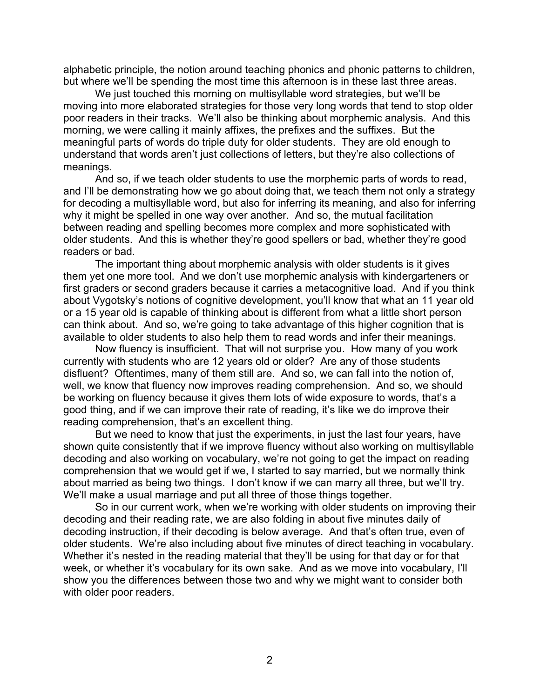alphabetic principle, the notion around teaching phonics and phonic patterns to children, but where we'll be spending the most time this afternoon is in these last three areas.

We just touched this morning on multisyllable word strategies, but we'll be moving into more elaborated strategies for those very long words that tend to stop older poor readers in their tracks. We'll also be thinking about morphemic analysis. And this morning, we were calling it mainly affixes, the prefixes and the suffixes. But the meaningful parts of words do triple duty for older students. They are old enough to understand that words aren't just collections of letters, but they're also collections of meanings.

And so, if we teach older students to use the morphemic parts of words to read, and I'll be demonstrating how we go about doing that, we teach them not only a strategy for decoding a multisyllable word, but also for inferring its meaning, and also for inferring why it might be spelled in one way over another. And so, the mutual facilitation between reading and spelling becomes more complex and more sophisticated with older students. And this is whether they're good spellers or bad, whether they're good readers or bad.

The important thing about morphemic analysis with older students is it gives them yet one more tool. And we don't use morphemic analysis with kindergarteners or first graders or second graders because it carries a metacognitive load. And if you think about Vygotsky's notions of cognitive development, you'll know that what an 11 year old or a 15 year old is capable of thinking about is different from what a little short person can think about. And so, we're going to take advantage of this higher cognition that is available to older students to also help them to read words and infer their meanings.

Now fluency is insufficient. That will not surprise you. How many of you work currently with students who are 12 years old or older? Are any of those students disfluent? Oftentimes, many of them still are. And so, we can fall into the notion of, well, we know that fluency now improves reading comprehension. And so, we should be working on fluency because it gives them lots of wide exposure to words, that's a good thing, and if we can improve their rate of reading, it's like we do improve their reading comprehension, that's an excellent thing.

But we need to know that just the experiments, in just the last four years, have shown quite consistently that if we improve fluency without also working on multisyllable decoding and also working on vocabulary, we're not going to get the impact on reading comprehension that we would get if we, I started to say married, but we normally think about married as being two things. I don't know if we can marry all three, but we'll try. We'll make a usual marriage and put all three of those things together.

So in our current work, when we're working with older students on improving their decoding and their reading rate, we are also folding in about five minutes daily of decoding instruction, if their decoding is below average. And that's often true, even of older students. We're also including about five minutes of direct teaching in vocabulary. Whether it's nested in the reading material that they'll be using for that day or for that week, or whether it's vocabulary for its own sake. And as we move into vocabulary, I'll show you the differences between those two and why we might want to consider both with older poor readers.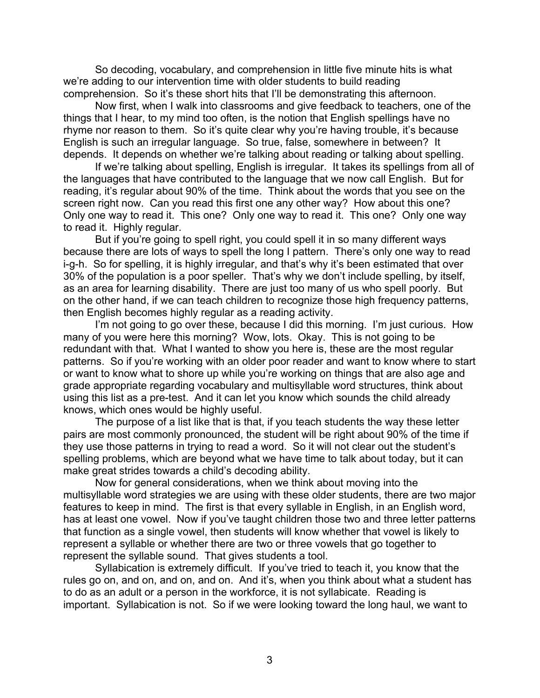So decoding, vocabulary, and comprehension in little five minute hits is what we're adding to our intervention time with older students to build reading comprehension. So it's these short hits that I'll be demonstrating this afternoon.

Now first, when I walk into classrooms and give feedback to teachers, one of the things that I hear, to my mind too often, is the notion that English spellings have no rhyme nor reason to them. So it's quite clear why you're having trouble, it's because English is such an irregular language. So true, false, somewhere in between? It depends. It depends on whether we're talking about reading or talking about spelling.

If we're talking about spelling, English is irregular. It takes its spellings from all of the languages that have contributed to the language that we now call English. But for reading, it's regular about 90% of the time. Think about the words that you see on the screen right now. Can you read this first one any other way? How about this one? Only one way to read it. This one? Only one way to read it. This one? Only one way to read it. Highly regular.

But if you're going to spell right, you could spell it in so many different ways because there are lots of ways to spell the long I pattern. There's only one way to read i-g-h. So for spelling, it is highly irregular, and that's why it's been estimated that over 30% of the population is a poor speller. That's why we don't include spelling, by itself, as an area for learning disability. There are just too many of us who spell poorly. But on the other hand, if we can teach children to recognize those high frequency patterns, then English becomes highly regular as a reading activity.

I'm not going to go over these, because I did this morning. I'm just curious. How many of you were here this morning? Wow, lots. Okay. This is not going to be redundant with that. What I wanted to show you here is, these are the most regular patterns. So if you're working with an older poor reader and want to know where to start or want to know what to shore up while you're working on things that are also age and grade appropriate regarding vocabulary and multisyllable word structures, think about using this list as a pre-test. And it can let you know which sounds the child already knows, which ones would be highly useful.

The purpose of a list like that is that, if you teach students the way these letter pairs are most commonly pronounced, the student will be right about 90% of the time if they use those patterns in trying to read a word. So it will not clear out the student's spelling problems, which are beyond what we have time to talk about today, but it can make great strides towards a child's decoding ability.

Now for general considerations, when we think about moving into the multisyllable word strategies we are using with these older students, there are two major features to keep in mind. The first is that every syllable in English, in an English word, has at least one vowel. Now if you've taught children those two and three letter patterns that function as a single vowel, then students will know whether that vowel is likely to represent a syllable or whether there are two or three vowels that go together to represent the syllable sound. That gives students a tool.

Syllabication is extremely difficult. If you've tried to teach it, you know that the rules go on, and on, and on, and on. And it's, when you think about what a student has to do as an adult or a person in the workforce, it is not syllabicate. Reading is important. Syllabication is not. So if we were looking toward the long haul, we want to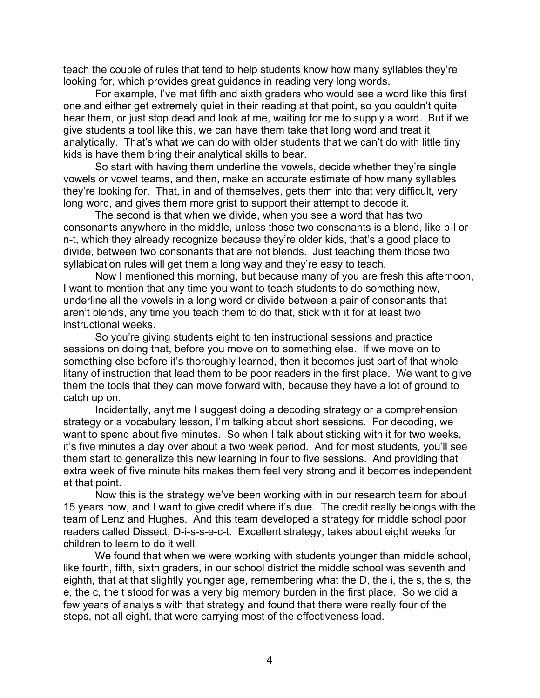teach the couple of rules that tend to help students know how many syllables they're looking for, which provides great guidance in reading very long words.

For example, I've met fifth and sixth graders who would see a word like this first one and either get extremely quiet in their reading at that point, so you couldn't quite hear them, or just stop dead and look at me, waiting for me to supply a word. But if we give students a tool like this, we can have them take that long word and treat it analytically. That's what we can do with older students that we can't do with little tiny kids is have them bring their analytical skills to bear.

So start with having them underline the vowels, decide whether they're single vowels or vowel teams, and then, make an accurate estimate of how many syllables they're looking for. That, in and of themselves, gets them into that very difficult, very long word, and gives them more grist to support their attempt to decode it.

The second is that when we divide, when you see a word that has two consonants anywhere in the middle, unless those two consonants is a blend, like b-l or n-t, which they already recognize because they're older kids, that's a good place to divide, between two consonants that are not blends. Just teaching them those two syllabication rules will get them a long way and they're easy to teach.

Now I mentioned this morning, but because many of you are fresh this afternoon, I want to mention that any time you want to teach students to do something new, underline all the vowels in a long word or divide between a pair of consonants that aren't blends, any time you teach them to do that, stick with it for at least two instructional weeks.

So you're giving students eight to ten instructional sessions and practice sessions on doing that, before you move on to something else. If we move on to something else before it's thoroughly learned, then it becomes just part of that whole litany of instruction that lead them to be poor readers in the first place. We want to give them the tools that they can move forward with, because they have a lot of ground to catch up on.

Incidentally, anytime I suggest doing a decoding strategy or a comprehension strategy or a vocabulary lesson, I'm talking about short sessions. For decoding, we want to spend about five minutes. So when I talk about sticking with it for two weeks, it's five minutes a day over about a two week period. And for most students, you'll see them start to generalize this new learning in four to five sessions. And providing that extra week of five minute hits makes them feel very strong and it becomes independent at that point.

Now this is the strategy we've been working with in our research team for about 15 years now, and I want to give credit where it's due. The credit really belongs with the team of Lenz and Hughes. And this team developed a strategy for middle school poor readers called Dissect, D-i-s-s-e-c-t. Excellent strategy, takes about eight weeks for children to learn to do it well.

We found that when we were working with students younger than middle school, like fourth, fifth, sixth graders, in our school district the middle school was seventh and eighth, that at that slightly younger age, remembering what the D, the i, the s, the s, the e, the c, the t stood for was a very big memory burden in the first place. So we did a few years of analysis with that strategy and found that there were really four of the steps, not all eight, that were carrying most of the effectiveness load.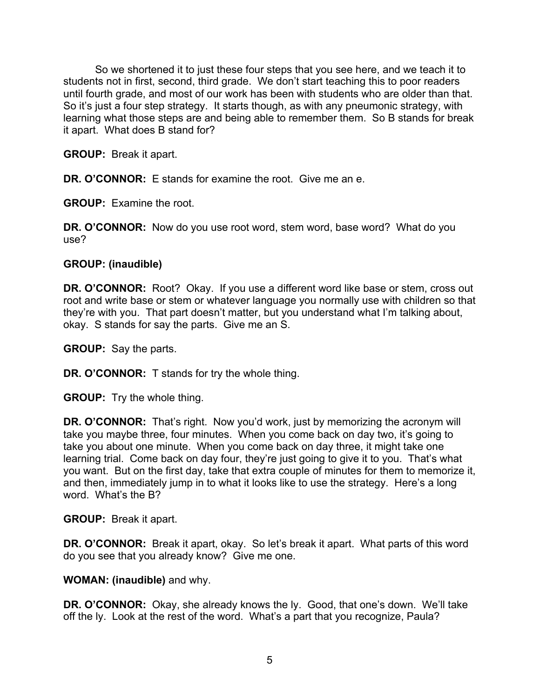So we shortened it to just these four steps that you see here, and we teach it to students not in first, second, third grade. We don't start teaching this to poor readers until fourth grade, and most of our work has been with students who are older than that. So it's just a four step strategy. It starts though, as with any pneumonic strategy, with learning what those steps are and being able to remember them. So B stands for break it apart. What does B stand for?

**GROUP:** Break it apart.

**DR. O'CONNOR:** E stands for examine the root. Give me an e.

**GROUP:** Examine the root.

**DR. O'CONNOR:** Now do you use root word, stem word, base word? What do you use?

### **GROUP: (inaudible)**

**DR. O'CONNOR:** Root? Okay. If you use a different word like base or stem, cross out root and write base or stem or whatever language you normally use with children so that they're with you. That part doesn't matter, but you understand what I'm talking about, okay. S stands for say the parts. Give me an S.

**GROUP:** Say the parts.

**DR. O'CONNOR:** T stands for try the whole thing.

**GROUP:** Try the whole thing.

**DR. O'CONNOR:** That's right. Now you'd work, just by memorizing the acronym will take you maybe three, four minutes. When you come back on day two, it's going to take you about one minute. When you come back on day three, it might take one learning trial. Come back on day four, they're just going to give it to you. That's what you want. But on the first day, take that extra couple of minutes for them to memorize it, and then, immediately jump in to what it looks like to use the strategy. Here's a long word. What's the B?

**GROUP:** Break it apart.

**DR. O'CONNOR:** Break it apart, okay. So let's break it apart. What parts of this word do you see that you already know? Give me one.

#### **WOMAN: (inaudible)** and why.

**DR. O'CONNOR:** Okay, she already knows the ly. Good, that one's down. We'll take off the ly. Look at the rest of the word. What's a part that you recognize, Paula?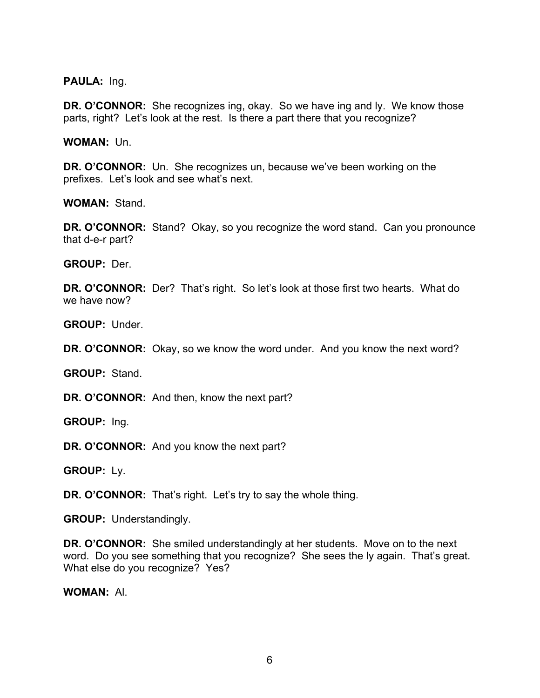**PAULA:** Ing.

**DR. O'CONNOR:** She recognizes ing, okay. So we have ing and ly. We know those parts, right? Let's look at the rest. Is there a part there that you recognize?

**WOMAN:** Un.

**DR. O'CONNOR:** Un. She recognizes un, because we've been working on the prefixes. Let's look and see what's next.

**WOMAN:** Stand.

**DR. O'CONNOR:** Stand? Okay, so you recognize the word stand. Can you pronounce that d-e-r part?

**GROUP:** Der.

**DR. O'CONNOR:** Der? That's right. So let's look at those first two hearts. What do we have now?

**GROUP:** Under.

**DR. O'CONNOR:** Okay, so we know the word under. And you know the next word?

**GROUP:** Stand.

**DR. O'CONNOR:** And then, know the next part?

**GROUP:** Ing.

**DR. O'CONNOR:** And you know the next part?

**GROUP:** Ly.

**DR. O'CONNOR:** That's right. Let's try to say the whole thing.

**GROUP:** Understandingly.

**DR. O'CONNOR:** She smiled understandingly at her students. Move on to the next word. Do you see something that you recognize? She sees the ly again. That's great. What else do you recognize? Yes?

**WOMAN:** Al.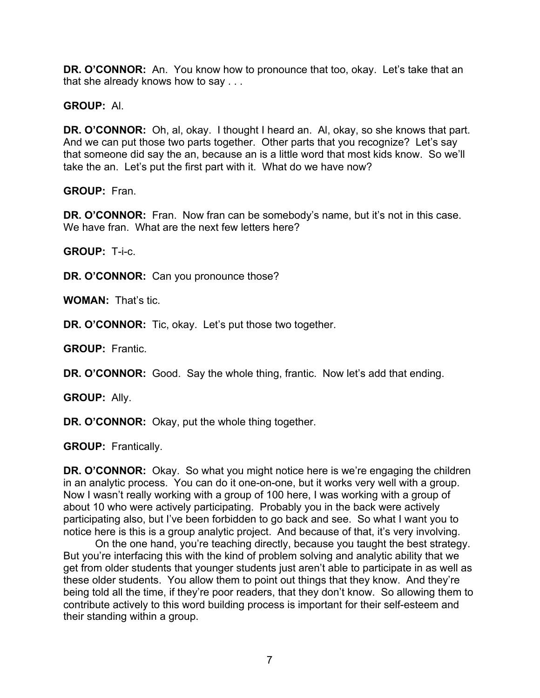**DR. O'CONNOR:** An. You know how to pronounce that too, okay. Let's take that an that she already knows how to say . . .

**GROUP:** Al.

**DR. O'CONNOR:** Oh, al, okay. I thought I heard an. Al, okay, so she knows that part. And we can put those two parts together. Other parts that you recognize? Let's say that someone did say the an, because an is a little word that most kids know. So we'll take the an. Let's put the first part with it. What do we have now?

**GROUP:** Fran.

**DR. O'CONNOR:** Fran. Now fran can be somebody's name, but it's not in this case. We have fran. What are the next few letters here?

**GROUP:** T-i-c.

**DR. O'CONNOR:** Can you pronounce those?

**WOMAN:** That's tic.

**DR. O'CONNOR:** Tic, okay. Let's put those two together.

**GROUP:** Frantic.

**DR. O'CONNOR:** Good. Say the whole thing, frantic. Now let's add that ending.

**GROUP:** Ally.

**DR. O'CONNOR:** Okay, put the whole thing together.

**GROUP:** Frantically.

**DR. O'CONNOR:** Okay. So what you might notice here is we're engaging the children in an analytic process. You can do it one-on-one, but it works very well with a group. Now I wasn't really working with a group of 100 here, I was working with a group of about 10 who were actively participating. Probably you in the back were actively participating also, but I've been forbidden to go back and see. So what I want you to notice here is this is a group analytic project. And because of that, it's very involving.

On the one hand, you're teaching directly, because you taught the best strategy. But you're interfacing this with the kind of problem solving and analytic ability that we get from older students that younger students just aren't able to participate in as well as these older students. You allow them to point out things that they know. And they're being told all the time, if they're poor readers, that they don't know. So allowing them to contribute actively to this word building process is important for their self-esteem and their standing within a group.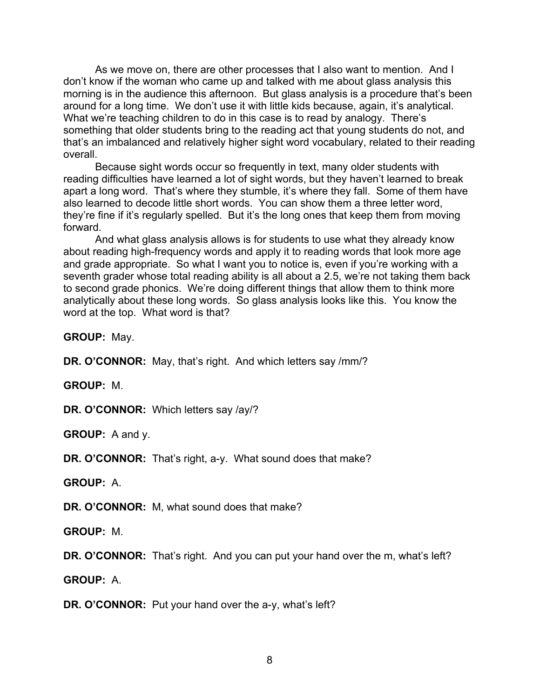As we move on, there are other processes that I also want to mention. And I don't know if the woman who came up and talked with me about glass analysis this morning is in the audience this afternoon. But glass analysis is a procedure that's been around for a long time. We don't use it with little kids because, again, it's analytical. What we're teaching children to do in this case is to read by analogy. There's something that older students bring to the reading act that young students do not, and that's an imbalanced and relatively higher sight word vocabulary, related to their reading overall.

Because sight words occur so frequently in text, many older students with reading difficulties have learned a lot of sight words, but they haven't learned to break apart a long word. That's where they stumble, it's where they fall. Some of them have also learned to decode little short words. You can show them a three letter word, they're fine if it's regularly spelled. But it's the long ones that keep them from moving forward.

And what glass analysis allows is for students to use what they already know about reading high-frequency words and apply it to reading words that look more age and grade appropriate. So what I want you to notice is, even if you're working with a seventh grader whose total reading ability is all about a 2.5, we're not taking them back to second grade phonics. We're doing different things that allow them to think more analytically about these long words. So glass analysis looks like this. You know the word at the top. What word is that?

**GROUP:** May.

**DR. O'CONNOR:** May, that's right. And which letters say /mm/?

**GROUP:** M.

**DR. O'CONNOR:** Which letters say /ay/?

**GROUP:** A and y.

**DR. O'CONNOR:** That's right, a-y. What sound does that make?

**GROUP:** A.

**DR. O'CONNOR:** M, what sound does that make?

**GROUP:** M.

**DR. O'CONNOR:** That's right. And you can put your hand over the m, what's left?

**GROUP:** A.

**DR. O'CONNOR:** Put your hand over the a-y, what's left?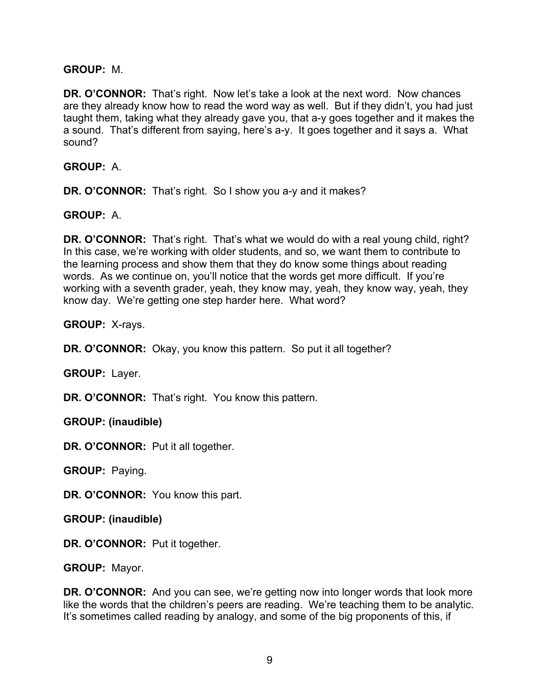### **GROUP:** M.

**DR. O'CONNOR:** That's right. Now let's take a look at the next word. Now chances are they already know how to read the word way as well. But if they didn't, you had just taught them, taking what they already gave you, that a-y goes together and it makes the a sound. That's different from saying, here's a-y. It goes together and it says a. What sound?

**GROUP:** A.

**DR. O'CONNOR:** That's right. So I show you a-y and it makes?

**GROUP:** A.

**DR. O'CONNOR:** That's right. That's what we would do with a real young child, right? In this case, we're working with older students, and so, we want them to contribute to the learning process and show them that they do know some things about reading words. As we continue on, you'll notice that the words get more difficult. If you're working with a seventh grader, yeah, they know may, yeah, they know way, yeah, they know day. We're getting one step harder here. What word?

**GROUP:** X-rays.

**DR. O'CONNOR:** Okay, you know this pattern. So put it all together?

**GROUP:** Layer.

**DR. O'CONNOR:** That's right. You know this pattern.

**GROUP: (inaudible)**

**DR. O'CONNOR:** Put it all together.

**GROUP:** Paying.

**DR. O'CONNOR:** You know this part.

**GROUP: (inaudible)**

**DR. O'CONNOR:** Put it together.

**GROUP:** Mayor.

**DR. O'CONNOR:** And you can see, we're getting now into longer words that look more like the words that the children's peers are reading. We're teaching them to be analytic. It's sometimes called reading by analogy, and some of the big proponents of this, if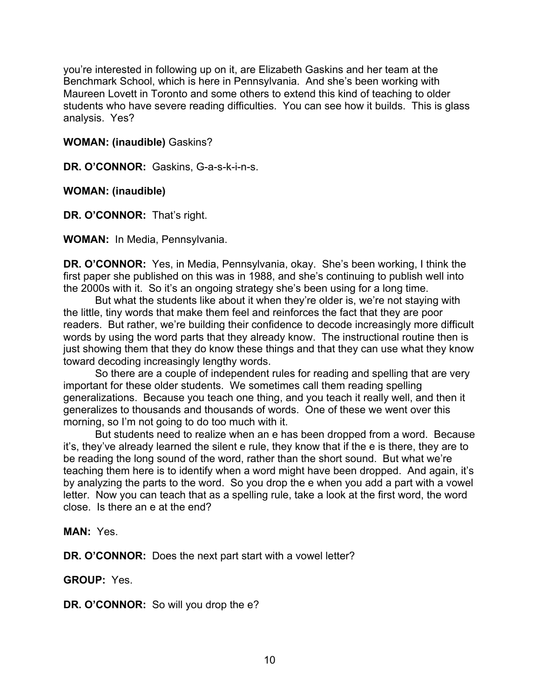you're interested in following up on it, are Elizabeth Gaskins and her team at the Benchmark School, which is here in Pennsylvania. And she's been working with Maureen Lovett in Toronto and some others to extend this kind of teaching to older students who have severe reading difficulties. You can see how it builds. This is glass analysis. Yes?

### **WOMAN: (inaudible)** Gaskins?

DR. O'CONNOR: Gaskins, G-a-s-k-i-n-s.

### **WOMAN: (inaudible)**

**DR. O'CONNOR:** That's right.

**WOMAN:** In Media, Pennsylvania.

**DR. O'CONNOR:** Yes, in Media, Pennsylvania, okay. She's been working, I think the first paper she published on this was in 1988, and she's continuing to publish well into the 2000s with it. So it's an ongoing strategy she's been using for a long time.

But what the students like about it when they're older is, we're not staying with the little, tiny words that make them feel and reinforces the fact that they are poor readers. But rather, we're building their confidence to decode increasingly more difficult words by using the word parts that they already know. The instructional routine then is just showing them that they do know these things and that they can use what they know toward decoding increasingly lengthy words.

So there are a couple of independent rules for reading and spelling that are very important for these older students. We sometimes call them reading spelling generalizations. Because you teach one thing, and you teach it really well, and then it generalizes to thousands and thousands of words. One of these we went over this morning, so I'm not going to do too much with it.

But students need to realize when an e has been dropped from a word. Because it's, they've already learned the silent e rule, they know that if the e is there, they are to be reading the long sound of the word, rather than the short sound. But what we're teaching them here is to identify when a word might have been dropped. And again, it's by analyzing the parts to the word. So you drop the e when you add a part with a vowel letter. Now you can teach that as a spelling rule, take a look at the first word, the word close. Is there an e at the end?

**MAN:** Yes.

**DR. O'CONNOR:** Does the next part start with a vowel letter?

**GROUP:** Yes.

**DR. O'CONNOR:** So will you drop the e?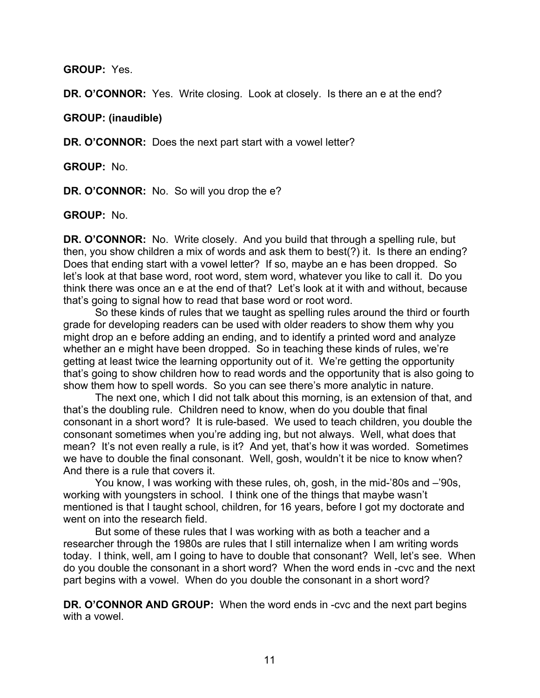**GROUP:** Yes.

**DR. O'CONNOR:** Yes. Write closing. Look at closely. Is there an e at the end?

**GROUP: (inaudible)**

**DR. O'CONNOR:** Does the next part start with a vowel letter?

**GROUP:** No.

**DR. O'CONNOR:** No. So will you drop the e?

**GROUP:** No.

**DR. O'CONNOR:** No. Write closely. And you build that through a spelling rule, but then, you show children a mix of words and ask them to best(?) it. Is there an ending? Does that ending start with a vowel letter? If so, maybe an e has been dropped. So let's look at that base word, root word, stem word, whatever you like to call it. Do you think there was once an e at the end of that? Let's look at it with and without, because that's going to signal how to read that base word or root word.

So these kinds of rules that we taught as spelling rules around the third or fourth grade for developing readers can be used with older readers to show them why you might drop an e before adding an ending, and to identify a printed word and analyze whether an e might have been dropped. So in teaching these kinds of rules, we're getting at least twice the learning opportunity out of it. We're getting the opportunity that's going to show children how to read words and the opportunity that is also going to show them how to spell words. So you can see there's more analytic in nature.

The next one, which I did not talk about this morning, is an extension of that, and that's the doubling rule. Children need to know, when do you double that final consonant in a short word? It is rule-based. We used to teach children, you double the consonant sometimes when you're adding ing, but not always. Well, what does that mean? It's not even really a rule, is it? And yet, that's how it was worded. Sometimes we have to double the final consonant. Well, gosh, wouldn't it be nice to know when? And there is a rule that covers it.

You know, I was working with these rules, oh, gosh, in the mid-'80s and –'90s, working with youngsters in school. I think one of the things that maybe wasn't mentioned is that I taught school, children, for 16 years, before I got my doctorate and went on into the research field.

But some of these rules that I was working with as both a teacher and a researcher through the 1980s are rules that I still internalize when I am writing words today. I think, well, am I going to have to double that consonant? Well, let's see. When do you double the consonant in a short word? When the word ends in -cvc and the next part begins with a vowel. When do you double the consonant in a short word?

**DR. O'CONNOR AND GROUP:** When the word ends in -cvc and the next part begins with a vowel.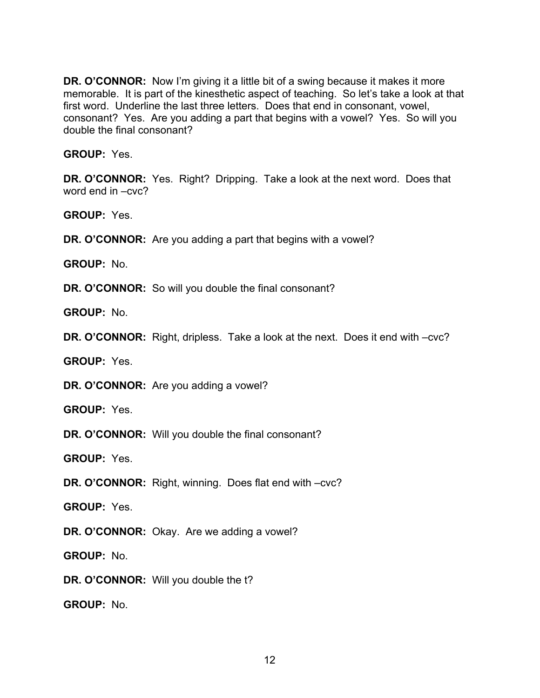**DR. O'CONNOR:** Now I'm giving it a little bit of a swing because it makes it more memorable. It is part of the kinesthetic aspect of teaching. So let's take a look at that first word. Underline the last three letters. Does that end in consonant, vowel, consonant? Yes. Are you adding a part that begins with a vowel? Yes. So will you double the final consonant?

**GROUP:** Yes.

**DR. O'CONNOR:** Yes. Right? Dripping. Take a look at the next word. Does that word end in –cvc?

**GROUP:** Yes.

**DR. O'CONNOR:** Are you adding a part that begins with a vowel?

**GROUP:** No.

**DR. O'CONNOR:** So will you double the final consonant?

**GROUP:** No.

**DR. O'CONNOR:** Right, dripless. Take a look at the next. Does it end with –cvc?

**GROUP:** Yes.

**DR. O'CONNOR:** Are you adding a vowel?

**GROUP:** Yes.

**DR. O'CONNOR:** Will you double the final consonant?

**GROUP:** Yes.

**DR. O'CONNOR:** Right, winning. Does flat end with –cvc?

**GROUP:** Yes.

**DR. O'CONNOR:** Okay. Are we adding a vowel?

**GROUP:** No.

**DR. O'CONNOR:** Will you double the t?

**GROUP:** No.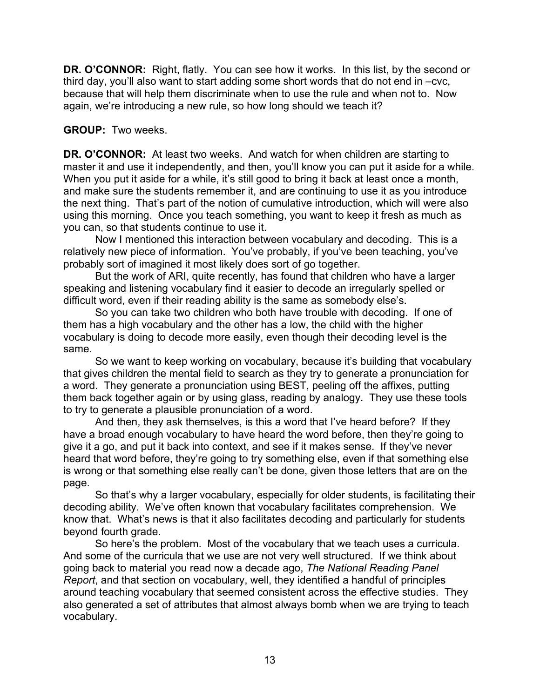**DR. O'CONNOR:** Right, flatly. You can see how it works. In this list, by the second or third day, you'll also want to start adding some short words that do not end in –cvc, because that will help them discriminate when to use the rule and when not to. Now again, we're introducing a new rule, so how long should we teach it?

## **GROUP:** Two weeks.

**DR. O'CONNOR:** At least two weeks. And watch for when children are starting to master it and use it independently, and then, you'll know you can put it aside for a while. When you put it aside for a while, it's still good to bring it back at least once a month, and make sure the students remember it, and are continuing to use it as you introduce the next thing. That's part of the notion of cumulative introduction, which will were also using this morning. Once you teach something, you want to keep it fresh as much as you can, so that students continue to use it.

Now I mentioned this interaction between vocabulary and decoding. This is a relatively new piece of information. You've probably, if you've been teaching, you've probably sort of imagined it most likely does sort of go together.

But the work of ARI, quite recently, has found that children who have a larger speaking and listening vocabulary find it easier to decode an irregularly spelled or difficult word, even if their reading ability is the same as somebody else's.

So you can take two children who both have trouble with decoding. If one of them has a high vocabulary and the other has a low, the child with the higher vocabulary is doing to decode more easily, even though their decoding level is the same.

So we want to keep working on vocabulary, because it's building that vocabulary that gives children the mental field to search as they try to generate a pronunciation for a word. They generate a pronunciation using BEST, peeling off the affixes, putting them back together again or by using glass, reading by analogy. They use these tools to try to generate a plausible pronunciation of a word.

And then, they ask themselves, is this a word that I've heard before? If they have a broad enough vocabulary to have heard the word before, then they're going to give it a go, and put it back into context, and see if it makes sense. If they've never heard that word before, they're going to try something else, even if that something else is wrong or that something else really can't be done, given those letters that are on the page.

So that's why a larger vocabulary, especially for older students, is facilitating their decoding ability. We've often known that vocabulary facilitates comprehension. We know that. What's news is that it also facilitates decoding and particularly for students beyond fourth grade.

So here's the problem. Most of the vocabulary that we teach uses a curricula. And some of the curricula that we use are not very well structured. If we think about going back to material you read now a decade ago, *The National Reading Panel Report*, and that section on vocabulary, well, they identified a handful of principles around teaching vocabulary that seemed consistent across the effective studies. They also generated a set of attributes that almost always bomb when we are trying to teach vocabulary.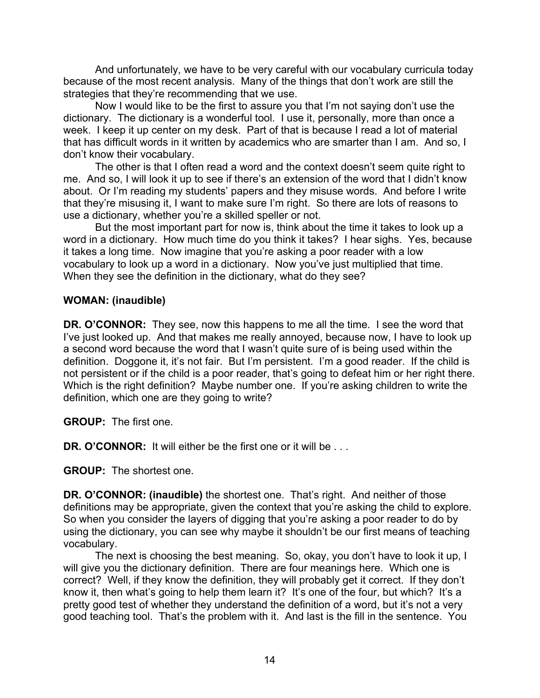And unfortunately, we have to be very careful with our vocabulary curricula today because of the most recent analysis. Many of the things that don't work are still the strategies that they're recommending that we use.

Now I would like to be the first to assure you that I'm not saying don't use the dictionary. The dictionary is a wonderful tool. I use it, personally, more than once a week. I keep it up center on my desk. Part of that is because I read a lot of material that has difficult words in it written by academics who are smarter than I am. And so, I don't know their vocabulary.

The other is that I often read a word and the context doesn't seem quite right to me. And so, I will look it up to see if there's an extension of the word that I didn't know about. Or I'm reading my students' papers and they misuse words. And before I write that they're misusing it, I want to make sure I'm right. So there are lots of reasons to use a dictionary, whether you're a skilled speller or not.

But the most important part for now is, think about the time it takes to look up a word in a dictionary. How much time do you think it takes? I hear sighs. Yes, because it takes a long time. Now imagine that you're asking a poor reader with a low vocabulary to look up a word in a dictionary. Now you've just multiplied that time. When they see the definition in the dictionary, what do they see?

## **WOMAN: (inaudible)**

**DR. O'CONNOR:** They see, now this happens to me all the time. I see the word that I've just looked up. And that makes me really annoyed, because now, I have to look up a second word because the word that I wasn't quite sure of is being used within the definition. Doggone it, it's not fair. But I'm persistent. I'm a good reader. If the child is not persistent or if the child is a poor reader, that's going to defeat him or her right there. Which is the right definition? Maybe number one. If you're asking children to write the definition, which one are they going to write?

**GROUP:** The first one.

**DR. O'CONNOR:** It will either be the first one or it will be . . .

**GROUP:** The shortest one.

**DR. O'CONNOR: (inaudible)** the shortest one. That's right. And neither of those definitions may be appropriate, given the context that you're asking the child to explore. So when you consider the layers of digging that you're asking a poor reader to do by using the dictionary, you can see why maybe it shouldn't be our first means of teaching vocabulary.

The next is choosing the best meaning. So, okay, you don't have to look it up, I will give you the dictionary definition. There are four meanings here. Which one is correct? Well, if they know the definition, they will probably get it correct. If they don't know it, then what's going to help them learn it? It's one of the four, but which? It's a pretty good test of whether they understand the definition of a word, but it's not a very good teaching tool. That's the problem with it. And last is the fill in the sentence. You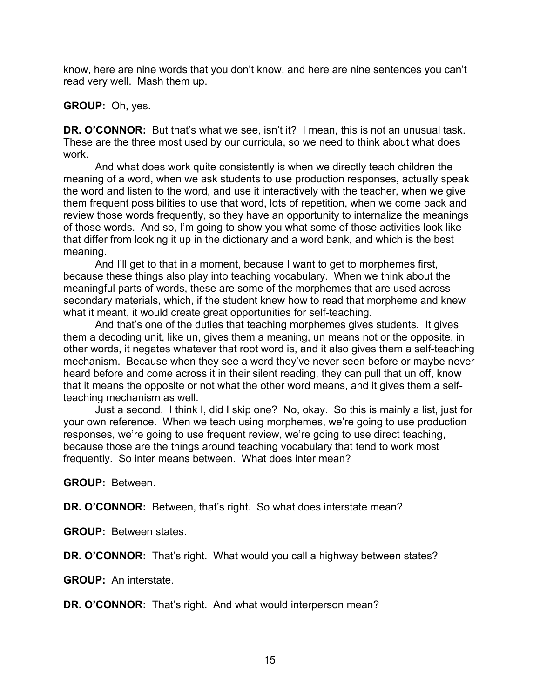know, here are nine words that you don't know, and here are nine sentences you can't read very well. Mash them up.

#### **GROUP:** Oh, yes.

**DR. O'CONNOR:** But that's what we see, isn't it? I mean, this is not an unusual task. These are the three most used by our curricula, so we need to think about what does work.

And what does work quite consistently is when we directly teach children the meaning of a word, when we ask students to use production responses, actually speak the word and listen to the word, and use it interactively with the teacher, when we give them frequent possibilities to use that word, lots of repetition, when we come back and review those words frequently, so they have an opportunity to internalize the meanings of those words. And so, I'm going to show you what some of those activities look like that differ from looking it up in the dictionary and a word bank, and which is the best meaning.

And I'll get to that in a moment, because I want to get to morphemes first, because these things also play into teaching vocabulary. When we think about the meaningful parts of words, these are some of the morphemes that are used across secondary materials, which, if the student knew how to read that morpheme and knew what it meant, it would create great opportunities for self-teaching.

And that's one of the duties that teaching morphemes gives students. It gives them a decoding unit, like un, gives them a meaning, un means not or the opposite, in other words, it negates whatever that root word is, and it also gives them a self-teaching mechanism. Because when they see a word they've never seen before or maybe never heard before and come across it in their silent reading, they can pull that un off, know that it means the opposite or not what the other word means, and it gives them a selfteaching mechanism as well.

Just a second. I think I, did I skip one? No, okay. So this is mainly a list, just for your own reference. When we teach using morphemes, we're going to use production responses, we're going to use frequent review, we're going to use direct teaching, because those are the things around teaching vocabulary that tend to work most frequently. So inter means between. What does inter mean?

**GROUP:** Between.

**DR. O'CONNOR:** Between, that's right. So what does interstate mean?

**GROUP:** Between states.

**DR. O'CONNOR:** That's right. What would you call a highway between states?

**GROUP:** An interstate.

**DR. O'CONNOR:** That's right. And what would interperson mean?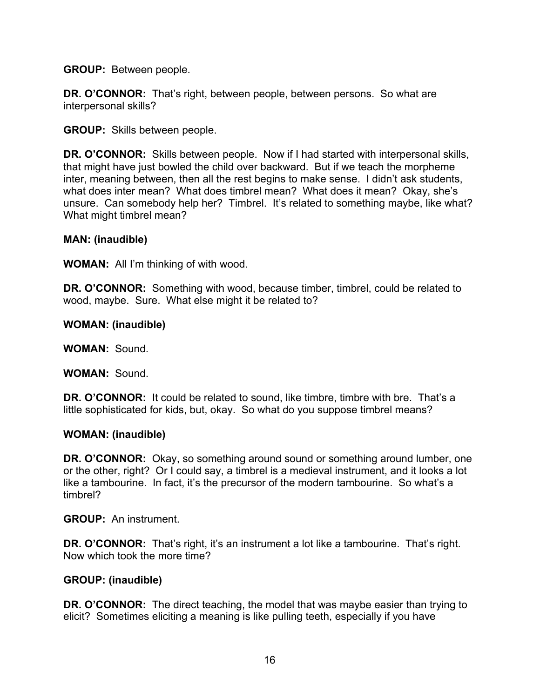**GROUP:** Between people.

**DR. O'CONNOR:** That's right, between people, between persons. So what are interpersonal skills?

**GROUP:** Skills between people.

**DR. O'CONNOR:** Skills between people. Now if I had started with interpersonal skills, that might have just bowled the child over backward. But if we teach the morpheme inter, meaning between, then all the rest begins to make sense. I didn't ask students, what does inter mean? What does timbrel mean? What does it mean? Okay, she's unsure. Can somebody help her? Timbrel. It's related to something maybe, like what? What might timbrel mean?

### **MAN: (inaudible)**

**WOMAN:** All I'm thinking of with wood.

**DR. O'CONNOR:** Something with wood, because timber, timbrel, could be related to wood, maybe. Sure. What else might it be related to?

#### **WOMAN: (inaudible)**

**WOMAN:** Sound.

**WOMAN:** Sound.

**DR. O'CONNOR:** It could be related to sound, like timbre, timbre with bre. That's a little sophisticated for kids, but, okay. So what do you suppose timbrel means?

#### **WOMAN: (inaudible)**

**DR. O'CONNOR:** Okay, so something around sound or something around lumber, one or the other, right? Or I could say, a timbrel is a medieval instrument, and it looks a lot like a tambourine. In fact, it's the precursor of the modern tambourine. So what's a timbrel?

**GROUP:** An instrument.

**DR. O'CONNOR:** That's right, it's an instrument a lot like a tambourine. That's right. Now which took the more time?

#### **GROUP: (inaudible)**

**DR. O'CONNOR:** The direct teaching, the model that was maybe easier than trying to elicit? Sometimes eliciting a meaning is like pulling teeth, especially if you have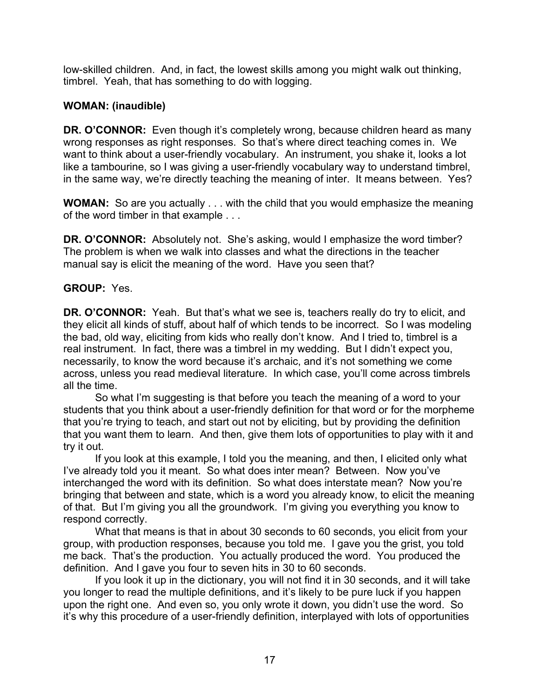low-skilled children. And, in fact, the lowest skills among you might walk out thinking, timbrel. Yeah, that has something to do with logging.

# **WOMAN: (inaudible)**

**DR. O'CONNOR:** Even though it's completely wrong, because children heard as many wrong responses as right responses. So that's where direct teaching comes in. We want to think about a user-friendly vocabulary. An instrument, you shake it, looks a lot like a tambourine, so I was giving a user-friendly vocabulary way to understand timbrel, in the same way, we're directly teaching the meaning of inter. It means between. Yes?

**WOMAN:** So are you actually . . . with the child that you would emphasize the meaning of the word timber in that example . . .

**DR. O'CONNOR:** Absolutely not. She's asking, would I emphasize the word timber? The problem is when we walk into classes and what the directions in the teacher manual say is elicit the meaning of the word. Have you seen that?

# **GROUP:** Yes.

**DR. O'CONNOR:** Yeah. But that's what we see is, teachers really do try to elicit, and they elicit all kinds of stuff, about half of which tends to be incorrect. So I was modeling the bad, old way, eliciting from kids who really don't know. And I tried to, timbrel is a real instrument. In fact, there was a timbrel in my wedding. But I didn't expect you, necessarily, to know the word because it's archaic, and it's not something we come across, unless you read medieval literature. In which case, you'll come across timbrels all the time.

So what I'm suggesting is that before you teach the meaning of a word to your students that you think about a user-friendly definition for that word or for the morpheme that you're trying to teach, and start out not by eliciting, but by providing the definition that you want them to learn. And then, give them lots of opportunities to play with it and try it out.

If you look at this example, I told you the meaning, and then, I elicited only what I've already told you it meant. So what does inter mean? Between. Now you've interchanged the word with its definition. So what does interstate mean? Now you're bringing that between and state, which is a word you already know, to elicit the meaning of that. But I'm giving you all the groundwork. I'm giving you everything you know to respond correctly.

What that means is that in about 30 seconds to 60 seconds, you elicit from your group, with production responses, because you told me. I gave you the grist, you told me back. That's the production. You actually produced the word. You produced the definition. And I gave you four to seven hits in 30 to 60 seconds.

If you look it up in the dictionary, you will not find it in 30 seconds, and it will take you longer to read the multiple definitions, and it's likely to be pure luck if you happen upon the right one. And even so, you only wrote it down, you didn't use the word. So it's why this procedure of a user-friendly definition, interplayed with lots of opportunities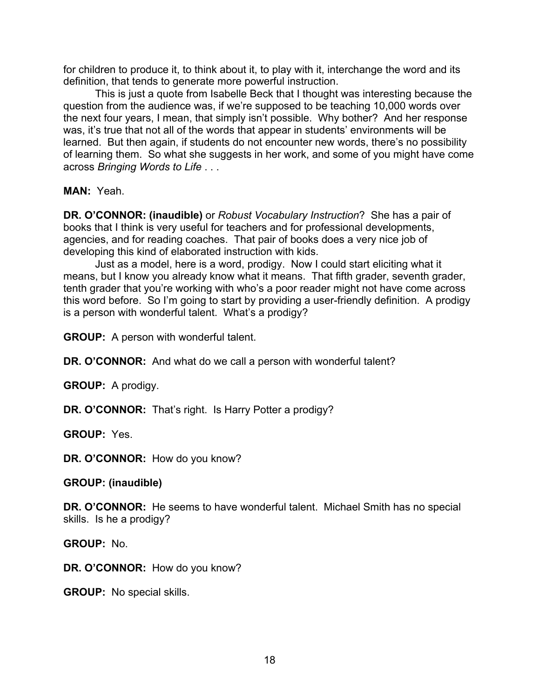for children to produce it, to think about it, to play with it, interchange the word and its definition, that tends to generate more powerful instruction.

This is just a quote from Isabelle Beck that I thought was interesting because the question from the audience was, if we're supposed to be teaching 10,000 words over the next four years, I mean, that simply isn't possible. Why bother? And her response was, it's true that not all of the words that appear in students' environments will be learned. But then again, if students do not encounter new words, there's no possibility of learning them. So what she suggests in her work, and some of you might have come across *Bringing Words to Life* . . .

**MAN:** Yeah.

**DR. O'CONNOR: (inaudible)** or *Robust Vocabulary Instruction*? She has a pair of books that I think is very useful for teachers and for professional developments, agencies, and for reading coaches. That pair of books does a very nice job of developing this kind of elaborated instruction with kids.

Just as a model, here is a word, prodigy. Now I could start eliciting what it means, but I know you already know what it means. That fifth grader, seventh grader, tenth grader that you're working with who's a poor reader might not have come across this word before. So I'm going to start by providing a user-friendly definition. A prodigy is a person with wonderful talent. What's a prodigy?

**GROUP:** A person with wonderful talent.

**DR. O'CONNOR:** And what do we call a person with wonderful talent?

**GROUP:** A prodigy.

**DR. O'CONNOR:** That's right. Is Harry Potter a prodigy?

**GROUP:** Yes.

**DR. O'CONNOR:** How do you know?

**GROUP: (inaudible)**

**DR. O'CONNOR:** He seems to have wonderful talent. Michael Smith has no special skills. Is he a prodigy?

**GROUP:** No.

DR. O'CONNOR: How do you know?

**GROUP:** No special skills.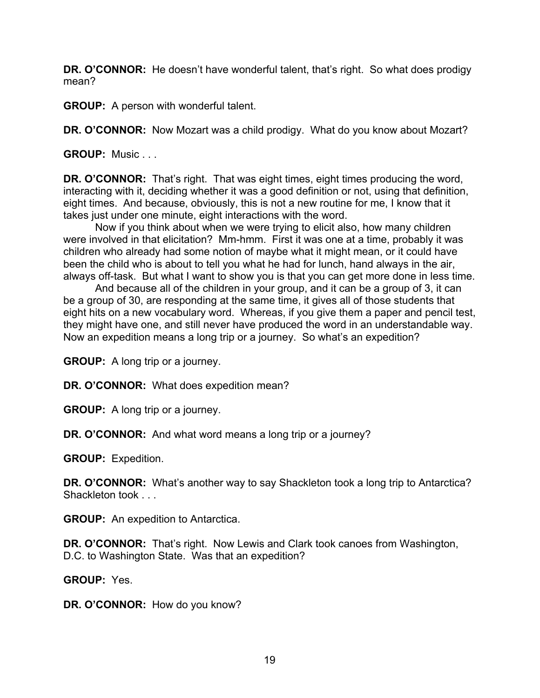**DR. O'CONNOR:** He doesn't have wonderful talent, that's right. So what does prodigy mean?

**GROUP:** A person with wonderful talent.

**DR. O'CONNOR:** Now Mozart was a child prodigy. What do you know about Mozart?

**GROUP:** Music . . .

**DR. O'CONNOR:** That's right. That was eight times, eight times producing the word, interacting with it, deciding whether it was a good definition or not, using that definition, eight times. And because, obviously, this is not a new routine for me, I know that it takes just under one minute, eight interactions with the word.

Now if you think about when we were trying to elicit also, how many children were involved in that elicitation? Mm-hmm. First it was one at a time, probably it was children who already had some notion of maybe what it might mean, or it could have been the child who is about to tell you what he had for lunch, hand always in the air, always off-task. But what I want to show you is that you can get more done in less time.

And because all of the children in your group, and it can be a group of 3, it can be a group of 30, are responding at the same time, it gives all of those students that eight hits on a new vocabulary word. Whereas, if you give them a paper and pencil test, they might have one, and still never have produced the word in an understandable way. Now an expedition means a long trip or a journey. So what's an expedition?

**GROUP:** A long trip or a journey.

**DR. O'CONNOR:** What does expedition mean?

**GROUP:** A long trip or a journey.

**DR. O'CONNOR:** And what word means a long trip or a journey?

**GROUP:** Expedition.

**DR. O'CONNOR:** What's another way to say Shackleton took a long trip to Antarctica? Shackleton took . . .

**GROUP:** An expedition to Antarctica.

**DR. O'CONNOR:** That's right. Now Lewis and Clark took canoes from Washington, D.C. to Washington State. Was that an expedition?

**GROUP:** Yes.

**DR. O'CONNOR:** How do you know?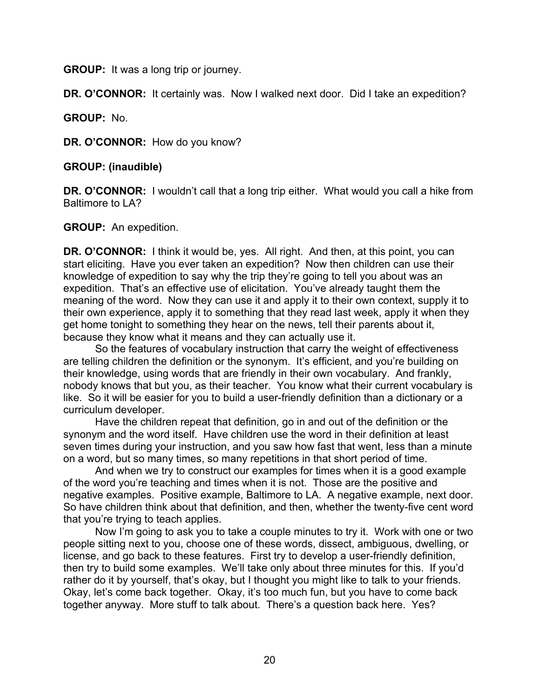**GROUP:** It was a long trip or journey.

**DR. O'CONNOR:** It certainly was. Now I walked next door. Did I take an expedition?

**GROUP:** No.

**DR. O'CONNOR:** How do you know?

**GROUP: (inaudible)**

**DR. O'CONNOR:** I wouldn't call that a long trip either. What would you call a hike from Baltimore to LA?

**GROUP:** An expedition.

**DR. O'CONNOR:** I think it would be, yes. All right. And then, at this point, you can start eliciting. Have you ever taken an expedition? Now then children can use their knowledge of expedition to say why the trip they're going to tell you about was an expedition. That's an effective use of elicitation. You've already taught them the meaning of the word. Now they can use it and apply it to their own context, supply it to their own experience, apply it to something that they read last week, apply it when they get home tonight to something they hear on the news, tell their parents about it, because they know what it means and they can actually use it.

So the features of vocabulary instruction that carry the weight of effectiveness are telling children the definition or the synonym. It's efficient, and you're building on their knowledge, using words that are friendly in their own vocabulary. And frankly, nobody knows that but you, as their teacher. You know what their current vocabulary is like. So it will be easier for you to build a user-friendly definition than a dictionary or a curriculum developer.

Have the children repeat that definition, go in and out of the definition or the synonym and the word itself. Have children use the word in their definition at least seven times during your instruction, and you saw how fast that went, less than a minute on a word, but so many times, so many repetitions in that short period of time.

And when we try to construct our examples for times when it is a good example of the word you're teaching and times when it is not. Those are the positive and negative examples. Positive example, Baltimore to LA. A negative example, next door. So have children think about that definition, and then, whether the twenty-five cent word that you're trying to teach applies.

Now I'm going to ask you to take a couple minutes to try it. Work with one or two people sitting next to you, choose one of these words, dissect, ambiguous, dwelling, or license, and go back to these features. First try to develop a user-friendly definition, then try to build some examples. We'll take only about three minutes for this. If you'd rather do it by yourself, that's okay, but I thought you might like to talk to your friends. Okay, let's come back together. Okay, it's too much fun, but you have to come back together anyway. More stuff to talk about. There's a question back here. Yes?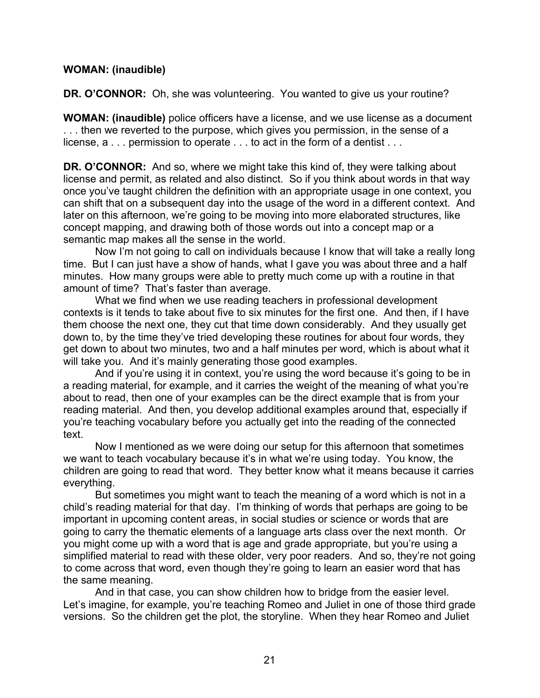### **WOMAN: (inaudible)**

**DR. O'CONNOR:** Oh, she was volunteering. You wanted to give us your routine?

**WOMAN: (inaudible)** police officers have a license, and we use license as a document . . . then we reverted to the purpose, which gives you permission, in the sense of a license, a . . . permission to operate . . . to act in the form of a dentist . . .

**DR. O'CONNOR:** And so, where we might take this kind of, they were talking about license and permit, as related and also distinct. So if you think about words in that way once you've taught children the definition with an appropriate usage in one context, you can shift that on a subsequent day into the usage of the word in a different context. And later on this afternoon, we're going to be moving into more elaborated structures, like concept mapping, and drawing both of those words out into a concept map or a semantic map makes all the sense in the world.

Now I'm not going to call on individuals because I know that will take a really long time. But I can just have a show of hands, what I gave you was about three and a half minutes. How many groups were able to pretty much come up with a routine in that amount of time? That's faster than average.

What we find when we use reading teachers in professional development contexts is it tends to take about five to six minutes for the first one. And then, if I have them choose the next one, they cut that time down considerably. And they usually get down to, by the time they've tried developing these routines for about four words, they get down to about two minutes, two and a half minutes per word, which is about what it will take you. And it's mainly generating those good examples.

And if you're using it in context, you're using the word because it's going to be in a reading material, for example, and it carries the weight of the meaning of what you're about to read, then one of your examples can be the direct example that is from your reading material. And then, you develop additional examples around that, especially if you're teaching vocabulary before you actually get into the reading of the connected text.

Now I mentioned as we were doing our setup for this afternoon that sometimes we want to teach vocabulary because it's in what we're using today. You know, the children are going to read that word. They better know what it means because it carries everything.

But sometimes you might want to teach the meaning of a word which is not in a child's reading material for that day. I'm thinking of words that perhaps are going to be important in upcoming content areas, in social studies or science or words that are going to carry the thematic elements of a language arts class over the next month. Or you might come up with a word that is age and grade appropriate, but you're using a simplified material to read with these older, very poor readers. And so, they're not going to come across that word, even though they're going to learn an easier word that has the same meaning.

And in that case, you can show children how to bridge from the easier level. Let's imagine, for example, you're teaching Romeo and Juliet in one of those third grade versions. So the children get the plot, the storyline. When they hear Romeo and Juliet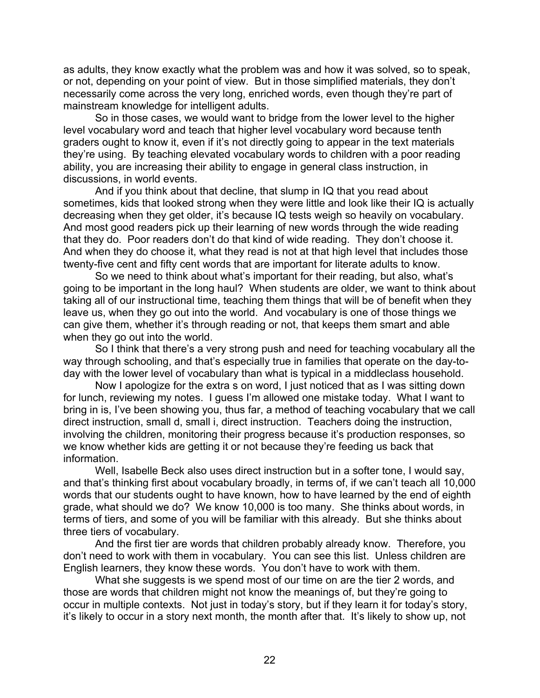as adults, they know exactly what the problem was and how it was solved, so to speak, or not, depending on your point of view. But in those simplified materials, they don't necessarily come across the very long, enriched words, even though they're part of mainstream knowledge for intelligent adults.

So in those cases, we would want to bridge from the lower level to the higher level vocabulary word and teach that higher level vocabulary word because tenth graders ought to know it, even if it's not directly going to appear in the text materials they're using. By teaching elevated vocabulary words to children with a poor reading ability, you are increasing their ability to engage in general class instruction, in discussions, in world events.

And if you think about that decline, that slump in IQ that you read about sometimes, kids that looked strong when they were little and look like their IQ is actually decreasing when they get older, it's because IQ tests weigh so heavily on vocabulary. And most good readers pick up their learning of new words through the wide reading that they do. Poor readers don't do that kind of wide reading. They don't choose it. And when they do choose it, what they read is not at that high level that includes those twenty-five cent and fifty cent words that are important for literate adults to know.

So we need to think about what's important for their reading, but also, what's going to be important in the long haul? When students are older, we want to think about taking all of our instructional time, teaching them things that will be of benefit when they leave us, when they go out into the world. And vocabulary is one of those things we can give them, whether it's through reading or not, that keeps them smart and able when they go out into the world.

So I think that there's a very strong push and need for teaching vocabulary all the way through schooling, and that's especially true in families that operate on the day-today with the lower level of vocabulary than what is typical in a middleclass household.

Now I apologize for the extra s on word, I just noticed that as I was sitting down for lunch, reviewing my notes. I guess I'm allowed one mistake today. What I want to bring in is, I've been showing you, thus far, a method of teaching vocabulary that we call direct instruction, small d, small i, direct instruction. Teachers doing the instruction, involving the children, monitoring their progress because it's production responses, so we know whether kids are getting it or not because they're feeding us back that information.

Well, Isabelle Beck also uses direct instruction but in a softer tone, I would say, and that's thinking first about vocabulary broadly, in terms of, if we can't teach all 10,000 words that our students ought to have known, how to have learned by the end of eighth grade, what should we do? We know 10,000 is too many. She thinks about words, in terms of tiers, and some of you will be familiar with this already. But she thinks about three tiers of vocabulary.

And the first tier are words that children probably already know. Therefore, you don't need to work with them in vocabulary. You can see this list. Unless children are English learners, they know these words. You don't have to work with them.

What she suggests is we spend most of our time on are the tier 2 words, and those are words that children might not know the meanings of, but they're going to occur in multiple contexts. Not just in today's story, but if they learn it for today's story, it's likely to occur in a story next month, the month after that. It's likely to show up, not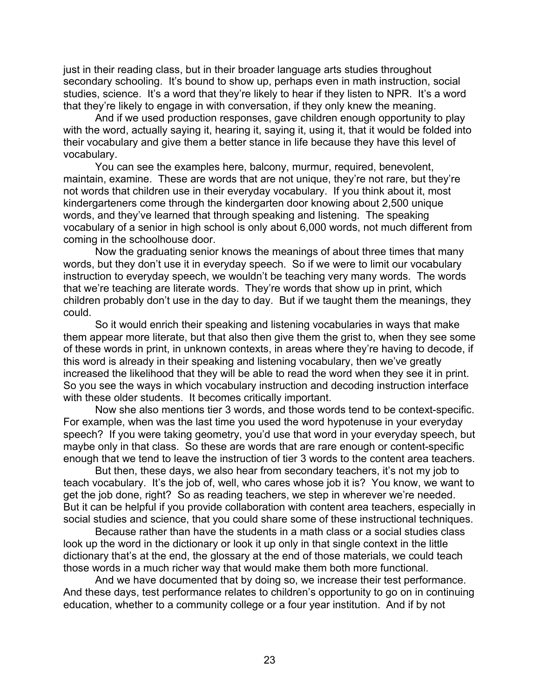just in their reading class, but in their broader language arts studies throughout secondary schooling. It's bound to show up, perhaps even in math instruction, social studies, science. It's a word that they're likely to hear if they listen to NPR. It's a word that they're likely to engage in with conversation, if they only knew the meaning.

And if we used production responses, gave children enough opportunity to play with the word, actually saying it, hearing it, saying it, using it, that it would be folded into their vocabulary and give them a better stance in life because they have this level of vocabulary.

You can see the examples here, balcony, murmur, required, benevolent, maintain, examine. These are words that are not unique, they're not rare, but they're not words that children use in their everyday vocabulary. If you think about it, most kindergarteners come through the kindergarten door knowing about 2,500 unique words, and they've learned that through speaking and listening. The speaking vocabulary of a senior in high school is only about 6,000 words, not much different from coming in the schoolhouse door.

Now the graduating senior knows the meanings of about three times that many words, but they don't use it in everyday speech. So if we were to limit our vocabulary instruction to everyday speech, we wouldn't be teaching very many words. The words that we're teaching are literate words. They're words that show up in print, which children probably don't use in the day to day. But if we taught them the meanings, they could.

So it would enrich their speaking and listening vocabularies in ways that make them appear more literate, but that also then give them the grist to, when they see some of these words in print, in unknown contexts, in areas where they're having to decode, if this word is already in their speaking and listening vocabulary, then we've greatly increased the likelihood that they will be able to read the word when they see it in print. So you see the ways in which vocabulary instruction and decoding instruction interface with these older students. It becomes critically important.

Now she also mentions tier 3 words, and those words tend to be context-specific. For example, when was the last time you used the word hypotenuse in your everyday speech? If you were taking geometry, you'd use that word in your everyday speech, but maybe only in that class. So these are words that are rare enough or content-specific enough that we tend to leave the instruction of tier 3 words to the content area teachers.

But then, these days, we also hear from secondary teachers, it's not my job to teach vocabulary. It's the job of, well, who cares whose job it is? You know, we want to get the job done, right? So as reading teachers, we step in wherever we're needed. But it can be helpful if you provide collaboration with content area teachers, especially in social studies and science, that you could share some of these instructional techniques.

Because rather than have the students in a math class or a social studies class look up the word in the dictionary or look it up only in that single context in the little dictionary that's at the end, the glossary at the end of those materials, we could teach those words in a much richer way that would make them both more functional.

And we have documented that by doing so, we increase their test performance. And these days, test performance relates to children's opportunity to go on in continuing education, whether to a community college or a four year institution. And if by not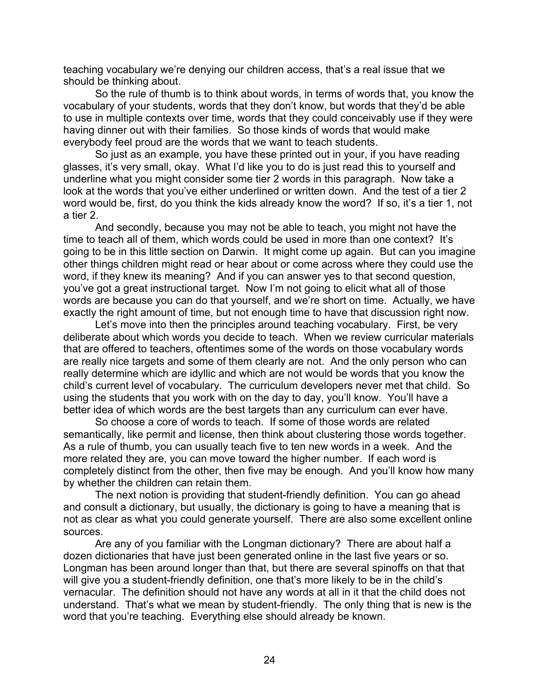teaching vocabulary we're denying our children access, that's a real issue that we should be thinking about.

So the rule of thumb is to think about words, in terms of words that, you know the vocabulary of your students, words that they don't know, but words that they'd be able to use in multiple contexts over time, words that they could conceivably use if they were having dinner out with their families. So those kinds of words that would make everybody feel proud are the words that we want to teach students.

So just as an example, you have these printed out in your, if you have reading glasses, it's very small, okay. What I'd like you to do is just read this to yourself and underline what you might consider some tier 2 words in this paragraph. Now take a look at the words that you've either underlined or written down. And the test of a tier 2 word would be, first, do you think the kids already know the word? If so, it's a tier 1, not a tier 2.

And secondly, because you may not be able to teach, you might not have the time to teach all of them, which words could be used in more than one context? It's going to be in this little section on Darwin. It might come up again. But can you imagine other things children might read or hear about or come across where they could use the word, if they knew its meaning? And if you can answer yes to that second question, you've got a great instructional target. Now I'm not going to elicit what all of those words are because you can do that yourself, and we're short on time. Actually, we have exactly the right amount of time, but not enough time to have that discussion right now.

Let's move into then the principles around teaching vocabulary. First, be very deliberate about which words you decide to teach. When we review curricular materials that are offered to teachers, oftentimes some of the words on those vocabulary words are really nice targets and some of them clearly are not. And the only person who can really determine which are idyllic and which are not would be words that you know the child's current level of vocabulary. The curriculum developers never met that child. So using the students that you work with on the day to day, you'll know. You'll have a better idea of which words are the best targets than any curriculum can ever have.

So choose a core of words to teach. If some of those words are related semantically, like permit and license, then think about clustering those words together. As a rule of thumb, you can usually teach five to ten new words in a week. And the more related they are, you can move toward the higher number. If each word is completely distinct from the other, then five may be enough. And you'll know how many by whether the children can retain them.

The next notion is providing that student-friendly definition. You can go ahead and consult a dictionary, but usually, the dictionary is going to have a meaning that is not as clear as what you could generate yourself. There are also some excellent online sources.

Are any of you familiar with the Longman dictionary? There are about half a dozen dictionaries that have just been generated online in the last five years or so. Longman has been around longer than that, but there are several spinoffs on that that will give you a student-friendly definition, one that's more likely to be in the child's vernacular. The definition should not have any words at all in it that the child does not understand. That's what we mean by student-friendly. The only thing that is new is the word that you're teaching. Everything else should already be known.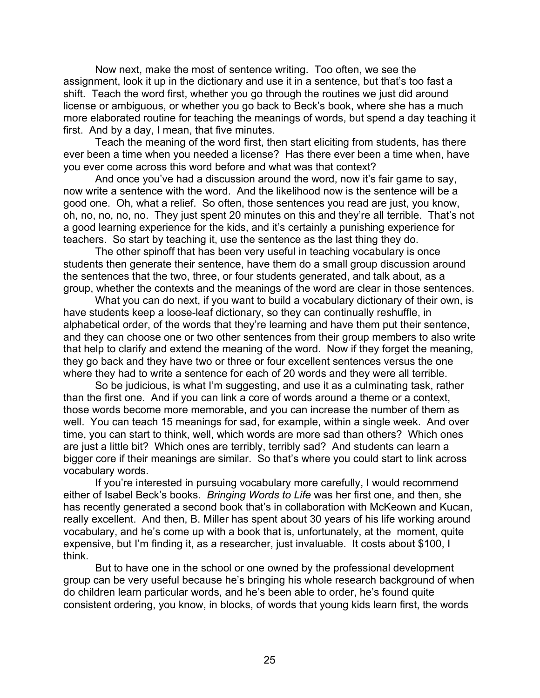Now next, make the most of sentence writing. Too often, we see the assignment, look it up in the dictionary and use it in a sentence, but that's too fast a shift. Teach the word first, whether you go through the routines we just did around license or ambiguous, or whether you go back to Beck's book, where she has a much more elaborated routine for teaching the meanings of words, but spend a day teaching it first. And by a day, I mean, that five minutes.

Teach the meaning of the word first, then start eliciting from students, has there ever been a time when you needed a license? Has there ever been a time when, have you ever come across this word before and what was that context?

And once you've had a discussion around the word, now it's fair game to say, now write a sentence with the word. And the likelihood now is the sentence will be a good one. Oh, what a relief. So often, those sentences you read are just, you know, oh, no, no, no, no. They just spent 20 minutes on this and they're all terrible. That's not a good learning experience for the kids, and it's certainly a punishing experience for teachers. So start by teaching it, use the sentence as the last thing they do.

The other spinoff that has been very useful in teaching vocabulary is once students then generate their sentence, have them do a small group discussion around the sentences that the two, three, or four students generated, and talk about, as a group, whether the contexts and the meanings of the word are clear in those sentences.

What you can do next, if you want to build a vocabulary dictionary of their own, is have students keep a loose-leaf dictionary, so they can continually reshuffle, in alphabetical order, of the words that they're learning and have them put their sentence, and they can choose one or two other sentences from their group members to also write that help to clarify and extend the meaning of the word. Now if they forget the meaning, they go back and they have two or three or four excellent sentences versus the one where they had to write a sentence for each of 20 words and they were all terrible.

So be judicious, is what I'm suggesting, and use it as a culminating task, rather than the first one. And if you can link a core of words around a theme or a context, those words become more memorable, and you can increase the number of them as well. You can teach 15 meanings for sad, for example, within a single week. And over time, you can start to think, well, which words are more sad than others? Which ones are just a little bit? Which ones are terribly, terribly sad? And students can learn a bigger core if their meanings are similar. So that's where you could start to link across vocabulary words.

If you're interested in pursuing vocabulary more carefully, I would recommend either of Isabel Beck's books. *Bringing Words to Life* was her first one, and then, she has recently generated a second book that's in collaboration with McKeown and Kucan, really excellent. And then, B. Miller has spent about 30 years of his life working around vocabulary, and he's come up with a book that is, unfortunately, at the moment, quite expensive, but I'm finding it, as a researcher, just invaluable. It costs about \$100, I think.

But to have one in the school or one owned by the professional development group can be very useful because he's bringing his whole research background of when do children learn particular words, and he's been able to order, he's found quite consistent ordering, you know, in blocks, of words that young kids learn first, the words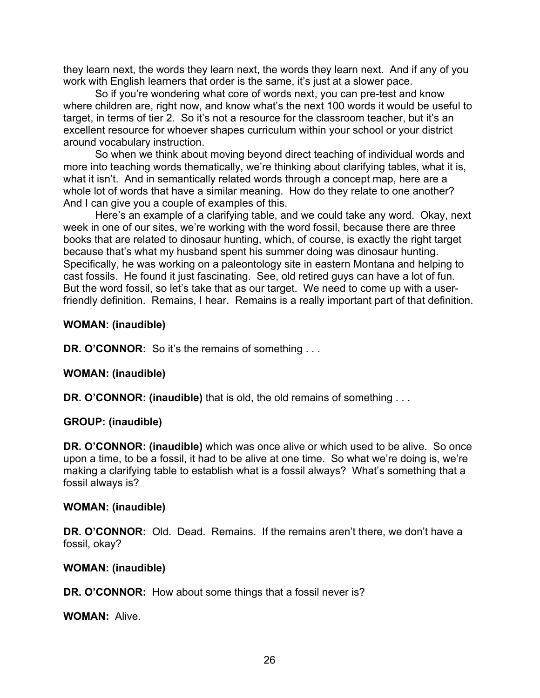they learn next, the words they learn next, the words they learn next. And if any of you work with English learners that order is the same, it's just at a slower pace.

So if you're wondering what core of words next, you can pre-test and know where children are, right now, and know what's the next 100 words it would be useful to target, in terms of tier 2. So it's not a resource for the classroom teacher, but it's an excellent resource for whoever shapes curriculum within your school or your district around vocabulary instruction.

So when we think about moving beyond direct teaching of individual words and more into teaching words thematically, we're thinking about clarifying tables, what it is, what it isn't. And in semantically related words through a concept map, here are a whole lot of words that have a similar meaning. How do they relate to one another? And I can give you a couple of examples of this.

Here's an example of a clarifying table, and we could take any word. Okay, next week in one of our sites, we're working with the word fossil, because there are three books that are related to dinosaur hunting, which, of course, is exactly the right target because that's what my husband spent his summer doing was dinosaur hunting. Specifically, he was working on a paleontology site in eastern Montana and helping to cast fossils. He found it just fascinating. See, old retired guys can have a lot of fun. But the word fossil, so let's take that as our target. We need to come up with a userfriendly definition. Remains, I hear. Remains is a really important part of that definition.

### **WOMAN: (inaudible)**

**DR. O'CONNOR:** So it's the remains of something ...

## **WOMAN: (inaudible)**

**DR. O'CONNOR: (inaudible)** that is old, the old remains of something . . .

#### **GROUP: (inaudible)**

**DR. O'CONNOR: (inaudible)** which was once alive or which used to be alive. So once upon a time, to be a fossil, it had to be alive at one time. So what we're doing is, we're making a clarifying table to establish what is a fossil always? What's something that a fossil always is?

#### **WOMAN: (inaudible)**

**DR. O'CONNOR:** Old. Dead. Remains. If the remains aren't there, we don't have a fossil, okay?

#### **WOMAN: (inaudible)**

**DR. O'CONNOR:** How about some things that a fossil never is?

**WOMAN:** Alive.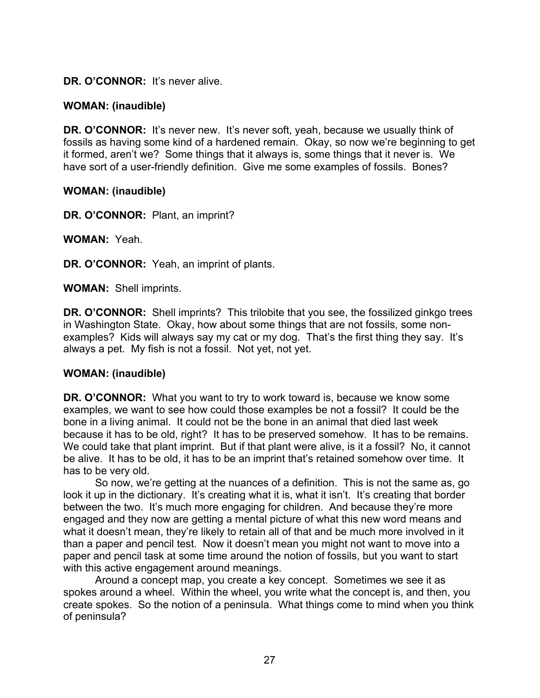## DR. O'CONNOR: It's never alive.

## **WOMAN: (inaudible)**

**DR. O'CONNOR:** It's never new. It's never soft, yeah, because we usually think of fossils as having some kind of a hardened remain. Okay, so now we're beginning to get it formed, aren't we? Some things that it always is, some things that it never is. We have sort of a user-friendly definition. Give me some examples of fossils. Bones?

### **WOMAN: (inaudible)**

**DR. O'CONNOR:** Plant, an imprint?

**WOMAN:** Yeah.

**DR. O'CONNOR:** Yeah, an imprint of plants.

**WOMAN:** Shell imprints.

**DR. O'CONNOR:** Shell imprints? This trilobite that you see, the fossilized ginkgo trees in Washington State. Okay, how about some things that are not fossils, some nonexamples? Kids will always say my cat or my dog. That's the first thing they say. It's always a pet. My fish is not a fossil. Not yet, not yet.

#### **WOMAN: (inaudible)**

**DR. O'CONNOR:** What you want to try to work toward is, because we know some examples, we want to see how could those examples be not a fossil? It could be the bone in a living animal. It could not be the bone in an animal that died last week because it has to be old, right? It has to be preserved somehow. It has to be remains. We could take that plant imprint. But if that plant were alive, is it a fossil? No, it cannot be alive. It has to be old, it has to be an imprint that's retained somehow over time. It has to be very old.

So now, we're getting at the nuances of a definition. This is not the same as, go look it up in the dictionary. It's creating what it is, what it isn't. It's creating that border between the two. It's much more engaging for children. And because they're more engaged and they now are getting a mental picture of what this new word means and what it doesn't mean, they're likely to retain all of that and be much more involved in it than a paper and pencil test. Now it doesn't mean you might not want to move into a paper and pencil task at some time around the notion of fossils, but you want to start with this active engagement around meanings.

Around a concept map, you create a key concept. Sometimes we see it as spokes around a wheel. Within the wheel, you write what the concept is, and then, you create spokes. So the notion of a peninsula. What things come to mind when you think of peninsula?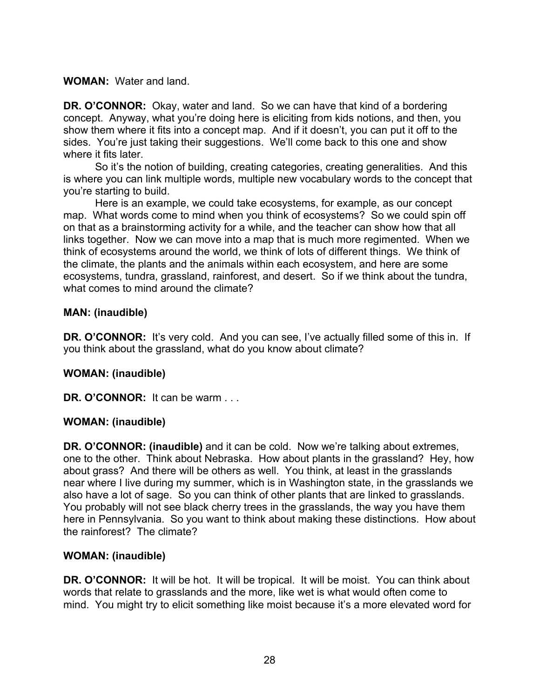### **WOMAN:** Water and land.

**DR. O'CONNOR:** Okay, water and land. So we can have that kind of a bordering concept. Anyway, what you're doing here is eliciting from kids notions, and then, you show them where it fits into a concept map. And if it doesn't, you can put it off to the sides. You're just taking their suggestions. We'll come back to this one and show where it fits later.

So it's the notion of building, creating categories, creating generalities. And this is where you can link multiple words, multiple new vocabulary words to the concept that you're starting to build.

Here is an example, we could take ecosystems, for example, as our concept map. What words come to mind when you think of ecosystems? So we could spin off on that as a brainstorming activity for a while, and the teacher can show how that all links together. Now we can move into a map that is much more regimented. When we think of ecosystems around the world, we think of lots of different things. We think of the climate, the plants and the animals within each ecosystem, and here are some ecosystems, tundra, grassland, rainforest, and desert. So if we think about the tundra, what comes to mind around the climate?

### **MAN: (inaudible)**

**DR. O'CONNOR:** It's very cold. And you can see, I've actually filled some of this in. If you think about the grassland, what do you know about climate?

## **WOMAN: (inaudible)**

DR. O'CONNOR: It can be warm . . .

## **WOMAN: (inaudible)**

**DR. O'CONNOR: (inaudible)** and it can be cold. Now we're talking about extremes, one to the other. Think about Nebraska. How about plants in the grassland? Hey, how about grass? And there will be others as well. You think, at least in the grasslands near where I live during my summer, which is in Washington state, in the grasslands we also have a lot of sage. So you can think of other plants that are linked to grasslands. You probably will not see black cherry trees in the grasslands, the way you have them here in Pennsylvania. So you want to think about making these distinctions. How about the rainforest? The climate?

#### **WOMAN: (inaudible)**

**DR. O'CONNOR:** It will be hot. It will be tropical. It will be moist. You can think about words that relate to grasslands and the more, like wet is what would often come to mind. You might try to elicit something like moist because it's a more elevated word for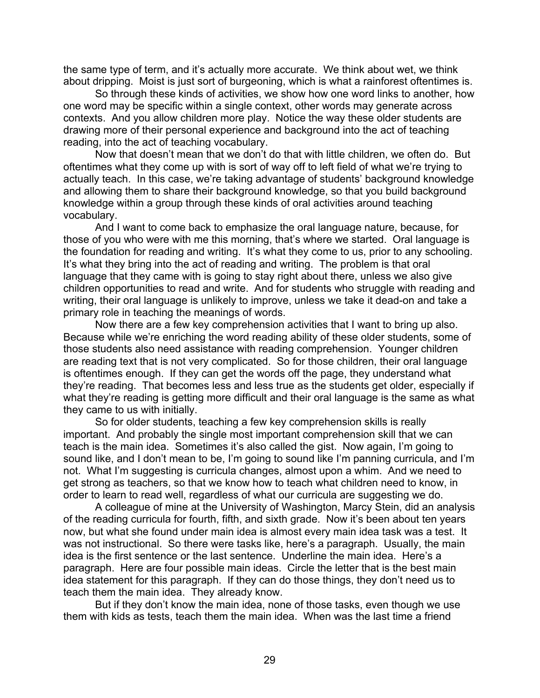the same type of term, and it's actually more accurate. We think about wet, we think about dripping. Moist is just sort of burgeoning, which is what a rainforest oftentimes is.

So through these kinds of activities, we show how one word links to another, how one word may be specific within a single context, other words may generate across contexts. And you allow children more play. Notice the way these older students are drawing more of their personal experience and background into the act of teaching reading, into the act of teaching vocabulary.

Now that doesn't mean that we don't do that with little children, we often do. But oftentimes what they come up with is sort of way off to left field of what we're trying to actually teach. In this case, we're taking advantage of students' background knowledge and allowing them to share their background knowledge, so that you build background knowledge within a group through these kinds of oral activities around teaching vocabulary.

And I want to come back to emphasize the oral language nature, because, for those of you who were with me this morning, that's where we started. Oral language is the foundation for reading and writing. It's what they come to us, prior to any schooling. It's what they bring into the act of reading and writing. The problem is that oral language that they came with is going to stay right about there, unless we also give children opportunities to read and write. And for students who struggle with reading and writing, their oral language is unlikely to improve, unless we take it dead-on and take a primary role in teaching the meanings of words.

Now there are a few key comprehension activities that I want to bring up also. Because while we're enriching the word reading ability of these older students, some of those students also need assistance with reading comprehension. Younger children are reading text that is not very complicated. So for those children, their oral language is oftentimes enough. If they can get the words off the page, they understand what they're reading. That becomes less and less true as the students get older, especially if what they're reading is getting more difficult and their oral language is the same as what they came to us with initially.

So for older students, teaching a few key comprehension skills is really important. And probably the single most important comprehension skill that we can teach is the main idea. Sometimes it's also called the gist. Now again, I'm going to sound like, and I don't mean to be, I'm going to sound like I'm panning curricula, and I'm not. What I'm suggesting is curricula changes, almost upon a whim. And we need to get strong as teachers, so that we know how to teach what children need to know, in order to learn to read well, regardless of what our curricula are suggesting we do.

A colleague of mine at the University of Washington, Marcy Stein, did an analysis of the reading curricula for fourth, fifth, and sixth grade. Now it's been about ten years now, but what she found under main idea is almost every main idea task was a test. It was not instructional. So there were tasks like, here's a paragraph. Usually, the main idea is the first sentence or the last sentence. Underline the main idea. Here's a paragraph. Here are four possible main ideas. Circle the letter that is the best main idea statement for this paragraph. If they can do those things, they don't need us to teach them the main idea. They already know.

But if they don't know the main idea, none of those tasks, even though we use them with kids as tests, teach them the main idea. When was the last time a friend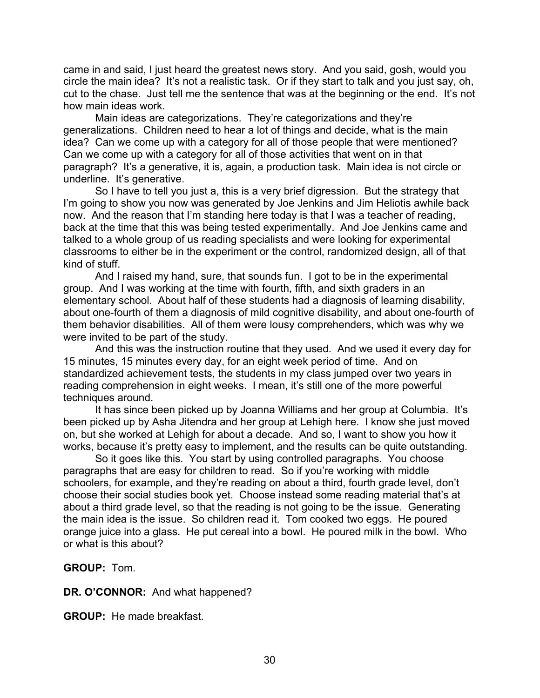came in and said, I just heard the greatest news story. And you said, gosh, would you circle the main idea? It's not a realistic task. Or if they start to talk and you just say, oh, cut to the chase. Just tell me the sentence that was at the beginning or the end. It's not how main ideas work.

Main ideas are categorizations. They're categorizations and they're generalizations. Children need to hear a lot of things and decide, what is the main idea? Can we come up with a category for all of those people that were mentioned? Can we come up with a category for all of those activities that went on in that paragraph? It's a generative, it is, again, a production task. Main idea is not circle or underline. It's generative.

So I have to tell you just a, this is a very brief digression. But the strategy that I'm going to show you now was generated by Joe Jenkins and Jim Heliotis awhile back now. And the reason that I'm standing here today is that I was a teacher of reading, back at the time that this was being tested experimentally. And Joe Jenkins came and talked to a whole group of us reading specialists and were looking for experimental classrooms to either be in the experiment or the control, randomized design, all of that kind of stuff.

And I raised my hand, sure, that sounds fun. I got to be in the experimental group. And I was working at the time with fourth, fifth, and sixth graders in an elementary school. About half of these students had a diagnosis of learning disability, about one-fourth of them a diagnosis of mild cognitive disability, and about one-fourth of them behavior disabilities. All of them were lousy comprehenders, which was why we were invited to be part of the study.

And this was the instruction routine that they used. And we used it every day for 15 minutes, 15 minutes every day, for an eight week period of time. And on standardized achievement tests, the students in my class jumped over two years in reading comprehension in eight weeks. I mean, it's still one of the more powerful techniques around.

It has since been picked up by Joanna Williams and her group at Columbia. It's been picked up by Asha Jitendra and her group at Lehigh here. I know she just moved on, but she worked at Lehigh for about a decade. And so, I want to show you how it works, because it's pretty easy to implement, and the results can be quite outstanding.

So it goes like this. You start by using controlled paragraphs. You choose paragraphs that are easy for children to read. So if you're working with middle schoolers, for example, and they're reading on about a third, fourth grade level, don't choose their social studies book yet. Choose instead some reading material that's at about a third grade level, so that the reading is not going to be the issue. Generating the main idea is the issue. So children read it. Tom cooked two eggs. He poured orange juice into a glass. He put cereal into a bowl. He poured milk in the bowl. Who or what is this about?

**GROUP:** Tom.

**DR. O'CONNOR:** And what happened?

**GROUP:** He made breakfast.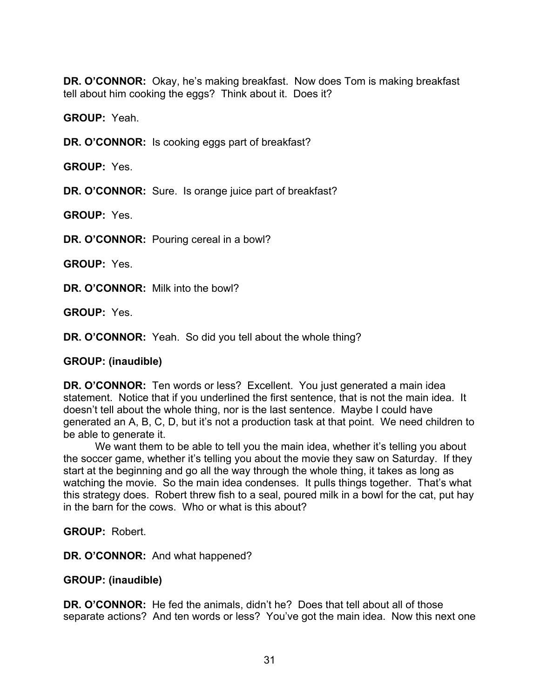**DR. O'CONNOR:** Okay, he's making breakfast. Now does Tom is making breakfast tell about him cooking the eggs? Think about it. Does it?

**GROUP:** Yeah.

**DR. O'CONNOR:** Is cooking eggs part of breakfast?

**GROUP:** Yes.

**DR. O'CONNOR:** Sure. Is orange juice part of breakfast?

**GROUP:** Yes.

**DR. O'CONNOR:** Pouring cereal in a bowl?

**GROUP:** Yes.

**DR. O'CONNOR:** Milk into the bowl?

**GROUP:** Yes.

**DR. O'CONNOR:** Yeah. So did you tell about the whole thing?

#### **GROUP: (inaudible)**

**DR. O'CONNOR:** Ten words or less? Excellent. You just generated a main idea statement. Notice that if you underlined the first sentence, that is not the main idea. It doesn't tell about the whole thing, nor is the last sentence. Maybe I could have generated an A, B, C, D, but it's not a production task at that point. We need children to be able to generate it.

We want them to be able to tell you the main idea, whether it's telling you about the soccer game, whether it's telling you about the movie they saw on Saturday. If they start at the beginning and go all the way through the whole thing, it takes as long as watching the movie. So the main idea condenses. It pulls things together. That's what this strategy does. Robert threw fish to a seal, poured milk in a bowl for the cat, put hay in the barn for the cows. Who or what is this about?

**GROUP:** Robert.

**DR. O'CONNOR:** And what happened?

#### **GROUP: (inaudible)**

**DR. O'CONNOR:** He fed the animals, didn't he? Does that tell about all of those separate actions? And ten words or less? You've got the main idea. Now this next one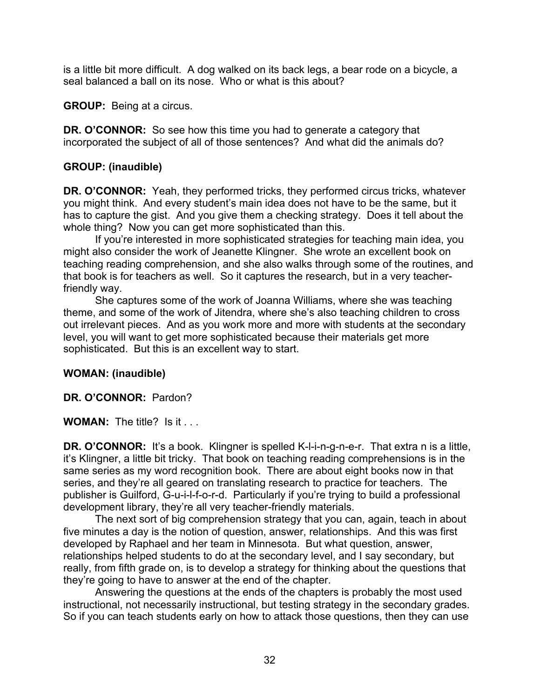is a little bit more difficult. A dog walked on its back legs, a bear rode on a bicycle, a seal balanced a ball on its nose. Who or what is this about?

**GROUP:** Being at a circus.

**DR. O'CONNOR:** So see how this time you had to generate a category that incorporated the subject of all of those sentences? And what did the animals do?

## **GROUP: (inaudible)**

**DR. O'CONNOR:** Yeah, they performed tricks, they performed circus tricks, whatever you might think. And every student's main idea does not have to be the same, but it has to capture the gist. And you give them a checking strategy. Does it tell about the whole thing? Now you can get more sophisticated than this.

If you're interested in more sophisticated strategies for teaching main idea, you might also consider the work of Jeanette Klingner. She wrote an excellent book on teaching reading comprehension, and she also walks through some of the routines, and that book is for teachers as well. So it captures the research, but in a very teacherfriendly way.

She captures some of the work of Joanna Williams, where she was teaching theme, and some of the work of Jitendra, where she's also teaching children to cross out irrelevant pieces. And as you work more and more with students at the secondary level, you will want to get more sophisticated because their materials get more sophisticated. But this is an excellent way to start.

## **WOMAN: (inaudible)**

**DR. O'CONNOR:** Pardon?

**WOMAN:** The title? Is it . . .

**DR. O'CONNOR:** It's a book. Klingner is spelled K-I-i-n-g-n-e-r. That extra n is a little, it's Klingner, a little bit tricky. That book on teaching reading comprehensions is in the same series as my word recognition book. There are about eight books now in that series, and they're all geared on translating research to practice for teachers. The publisher is Guilford, G-u-i-l-f-o-r-d. Particularly if you're trying to build a professional development library, they're all very teacher-friendly materials.

The next sort of big comprehension strategy that you can, again, teach in about five minutes a day is the notion of question, answer, relationships. And this was first developed by Raphael and her team in Minnesota. But what question, answer, relationships helped students to do at the secondary level, and I say secondary, but really, from fifth grade on, is to develop a strategy for thinking about the questions that they're going to have to answer at the end of the chapter.

Answering the questions at the ends of the chapters is probably the most used instructional, not necessarily instructional, but testing strategy in the secondary grades. So if you can teach students early on how to attack those questions, then they can use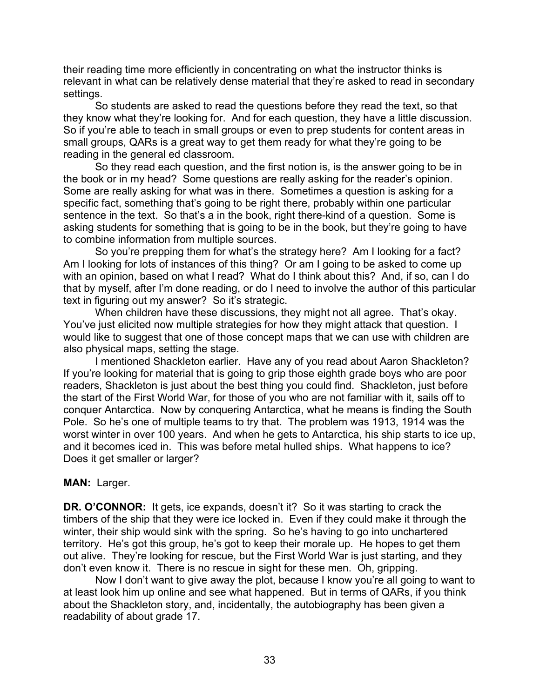their reading time more efficiently in concentrating on what the instructor thinks is relevant in what can be relatively dense material that they're asked to read in secondary settings.

So students are asked to read the questions before they read the text, so that they know what they're looking for. And for each question, they have a little discussion. So if you're able to teach in small groups or even to prep students for content areas in small groups, QARs is a great way to get them ready for what they're going to be reading in the general ed classroom.

So they read each question, and the first notion is, is the answer going to be in the book or in my head? Some questions are really asking for the reader's opinion. Some are really asking for what was in there. Sometimes a question is asking for a specific fact, something that's going to be right there, probably within one particular sentence in the text. So that's a in the book, right there-kind of a question. Some is asking students for something that is going to be in the book, but they're going to have to combine information from multiple sources.

So you're prepping them for what's the strategy here? Am I looking for a fact? Am I looking for lots of instances of this thing? Or am I going to be asked to come up with an opinion, based on what I read? What do I think about this? And, if so, can I do that by myself, after I'm done reading, or do I need to involve the author of this particular text in figuring out my answer? So it's strategic.

When children have these discussions, they might not all agree. That's okay. You've just elicited now multiple strategies for how they might attack that question. I would like to suggest that one of those concept maps that we can use with children are also physical maps, setting the stage.

I mentioned Shackleton earlier. Have any of you read about Aaron Shackleton? If you're looking for material that is going to grip those eighth grade boys who are poor readers, Shackleton is just about the best thing you could find. Shackleton, just before the start of the First World War, for those of you who are not familiar with it, sails off to conquer Antarctica. Now by conquering Antarctica, what he means is finding the South Pole. So he's one of multiple teams to try that. The problem was 1913, 1914 was the worst winter in over 100 years. And when he gets to Antarctica, his ship starts to ice up, and it becomes iced in. This was before metal hulled ships. What happens to ice? Does it get smaller or larger?

## **MAN:** Larger.

**DR. O'CONNOR:** It gets, ice expands, doesn't it? So it was starting to crack the timbers of the ship that they were ice locked in. Even if they could make it through the winter, their ship would sink with the spring. So he's having to go into unchartered territory. He's got this group, he's got to keep their morale up. He hopes to get them out alive. They're looking for rescue, but the First World War is just starting, and they don't even know it. There is no rescue in sight for these men. Oh, gripping.

Now I don't want to give away the plot, because I know you're all going to want to at least look him up online and see what happened. But in terms of QARs, if you think about the Shackleton story, and, incidentally, the autobiography has been given a readability of about grade 17.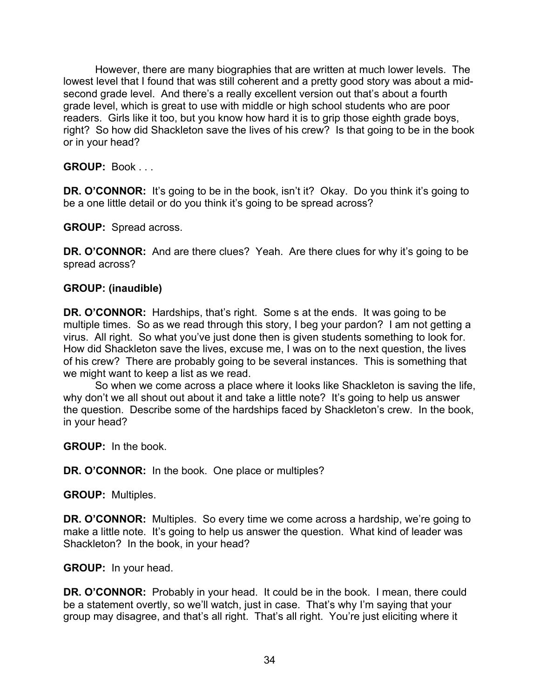However, there are many biographies that are written at much lower levels. The lowest level that I found that was still coherent and a pretty good story was about a midsecond grade level. And there's a really excellent version out that's about a fourth grade level, which is great to use with middle or high school students who are poor readers. Girls like it too, but you know how hard it is to grip those eighth grade boys, right? So how did Shackleton save the lives of his crew? Is that going to be in the book or in your head?

**GROUP:** Book . . .

**DR. O'CONNOR:** It's going to be in the book, isn't it? Okay. Do you think it's going to be a one little detail or do you think it's going to be spread across?

**GROUP:** Spread across.

**DR. O'CONNOR:** And are there clues? Yeah. Are there clues for why it's going to be spread across?

### **GROUP: (inaudible)**

**DR. O'CONNOR:** Hardships, that's right. Some s at the ends. It was going to be multiple times. So as we read through this story, I beg your pardon? I am not getting a virus. All right. So what you've just done then is given students something to look for. How did Shackleton save the lives, excuse me, I was on to the next question, the lives of his crew? There are probably going to be several instances. This is something that we might want to keep a list as we read.

So when we come across a place where it looks like Shackleton is saving the life, why don't we all shout out about it and take a little note? It's going to help us answer the question. Describe some of the hardships faced by Shackleton's crew. In the book, in your head?

**GROUP:** In the book.

**DR. O'CONNOR:** In the book. One place or multiples?

**GROUP:** Multiples.

**DR. O'CONNOR:** Multiples. So every time we come across a hardship, we're going to make a little note. It's going to help us answer the question. What kind of leader was Shackleton? In the book, in your head?

**GROUP:** In your head.

**DR. O'CONNOR:** Probably in your head. It could be in the book. I mean, there could be a statement overtly, so we'll watch, just in case. That's why I'm saying that your group may disagree, and that's all right. That's all right. You're just eliciting where it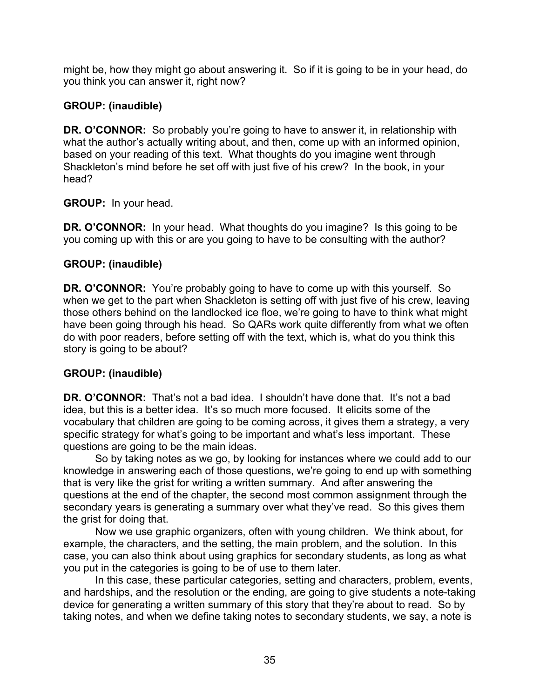might be, how they might go about answering it. So if it is going to be in your head, do you think you can answer it, right now?

# **GROUP: (inaudible)**

**DR. O'CONNOR:** So probably you're going to have to answer it, in relationship with what the author's actually writing about, and then, come up with an informed opinion, based on your reading of this text. What thoughts do you imagine went through Shackleton's mind before he set off with just five of his crew? In the book, in your head?

**GROUP:** In your head.

**DR. O'CONNOR:** In your head. What thoughts do you imagine? Is this going to be you coming up with this or are you going to have to be consulting with the author?

# **GROUP: (inaudible)**

**DR. O'CONNOR:** You're probably going to have to come up with this yourself. So when we get to the part when Shackleton is setting off with just five of his crew, leaving those others behind on the landlocked ice floe, we're going to have to think what might have been going through his head. So QARs work quite differently from what we often do with poor readers, before setting off with the text, which is, what do you think this story is going to be about?

# **GROUP: (inaudible)**

**DR. O'CONNOR:** That's not a bad idea. I shouldn't have done that. It's not a bad idea, but this is a better idea. It's so much more focused. It elicits some of the vocabulary that children are going to be coming across, it gives them a strategy, a very specific strategy for what's going to be important and what's less important. These questions are going to be the main ideas.

So by taking notes as we go, by looking for instances where we could add to our knowledge in answering each of those questions, we're going to end up with something that is very like the grist for writing a written summary. And after answering the questions at the end of the chapter, the second most common assignment through the secondary years is generating a summary over what they've read. So this gives them the grist for doing that.

Now we use graphic organizers, often with young children. We think about, for example, the characters, and the setting, the main problem, and the solution. In this case, you can also think about using graphics for secondary students, as long as what you put in the categories is going to be of use to them later.

In this case, these particular categories, setting and characters, problem, events, and hardships, and the resolution or the ending, are going to give students a note-taking device for generating a written summary of this story that they're about to read. So by taking notes, and when we define taking notes to secondary students, we say, a note is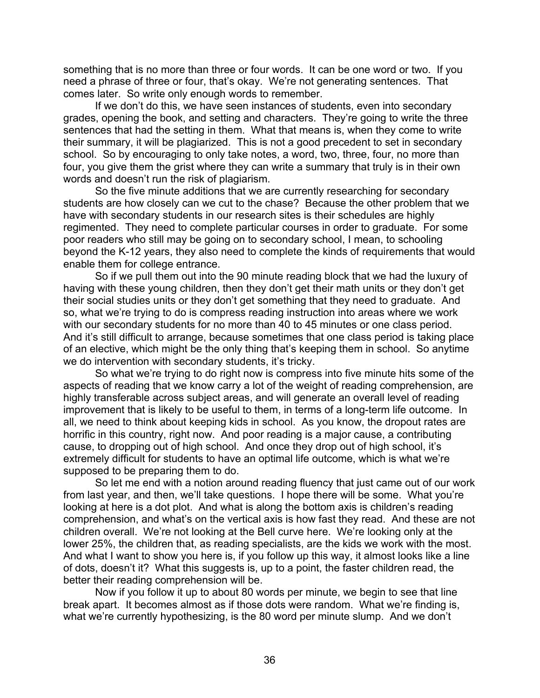something that is no more than three or four words. It can be one word or two. If you need a phrase of three or four, that's okay. We're not generating sentences. That comes later. So write only enough words to remember.

If we don't do this, we have seen instances of students, even into secondary grades, opening the book, and setting and characters. They're going to write the three sentences that had the setting in them. What that means is, when they come to write their summary, it will be plagiarized. This is not a good precedent to set in secondary school. So by encouraging to only take notes, a word, two, three, four, no more than four, you give them the grist where they can write a summary that truly is in their own words and doesn't run the risk of plagiarism.

So the five minute additions that we are currently researching for secondary students are how closely can we cut to the chase? Because the other problem that we have with secondary students in our research sites is their schedules are highly regimented. They need to complete particular courses in order to graduate. For some poor readers who still may be going on to secondary school, I mean, to schooling beyond the K-12 years, they also need to complete the kinds of requirements that would enable them for college entrance.

So if we pull them out into the 90 minute reading block that we had the luxury of having with these young children, then they don't get their math units or they don't get their social studies units or they don't get something that they need to graduate. And so, what we're trying to do is compress reading instruction into areas where we work with our secondary students for no more than 40 to 45 minutes or one class period. And it's still difficult to arrange, because sometimes that one class period is taking place of an elective, which might be the only thing that's keeping them in school. So anytime we do intervention with secondary students, it's tricky.

So what we're trying to do right now is compress into five minute hits some of the aspects of reading that we know carry a lot of the weight of reading comprehension, are highly transferable across subject areas, and will generate an overall level of reading improvement that is likely to be useful to them, in terms of a long-term life outcome. In all, we need to think about keeping kids in school. As you know, the dropout rates are horrific in this country, right now. And poor reading is a major cause, a contributing cause, to dropping out of high school. And once they drop out of high school, it's extremely difficult for students to have an optimal life outcome, which is what we're supposed to be preparing them to do.

So let me end with a notion around reading fluency that just came out of our work from last year, and then, we'll take questions. I hope there will be some. What you're looking at here is a dot plot. And what is along the bottom axis is children's reading comprehension, and what's on the vertical axis is how fast they read. And these are not children overall. We're not looking at the Bell curve here. We're looking only at the lower 25%, the children that, as reading specialists, are the kids we work with the most. And what I want to show you here is, if you follow up this way, it almost looks like a line of dots, doesn't it? What this suggests is, up to a point, the faster children read, the better their reading comprehension will be.

Now if you follow it up to about 80 words per minute, we begin to see that line break apart. It becomes almost as if those dots were random. What we're finding is, what we're currently hypothesizing, is the 80 word per minute slump. And we don't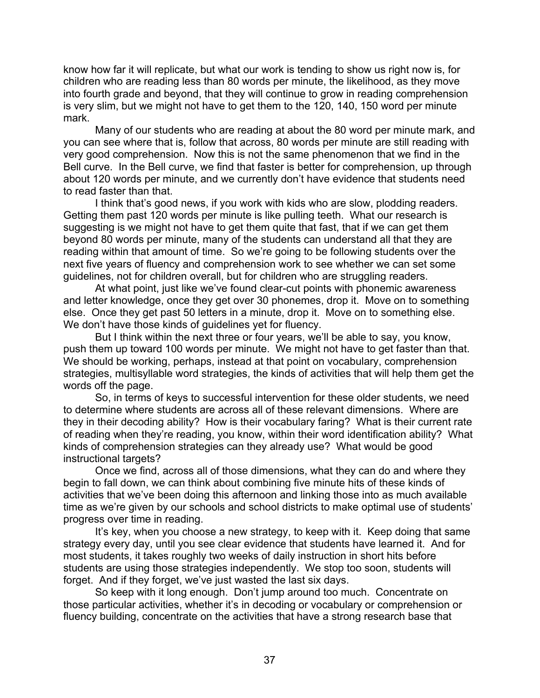know how far it will replicate, but what our work is tending to show us right now is, for children who are reading less than 80 words per minute, the likelihood, as they move into fourth grade and beyond, that they will continue to grow in reading comprehension is very slim, but we might not have to get them to the 120, 140, 150 word per minute mark.

Many of our students who are reading at about the 80 word per minute mark, and you can see where that is, follow that across, 80 words per minute are still reading with very good comprehension. Now this is not the same phenomenon that we find in the Bell curve. In the Bell curve, we find that faster is better for comprehension, up through about 120 words per minute, and we currently don't have evidence that students need to read faster than that.

I think that's good news, if you work with kids who are slow, plodding readers. Getting them past 120 words per minute is like pulling teeth. What our research is suggesting is we might not have to get them quite that fast, that if we can get them beyond 80 words per minute, many of the students can understand all that they are reading within that amount of time. So we're going to be following students over the next five years of fluency and comprehension work to see whether we can set some guidelines, not for children overall, but for children who are struggling readers.

At what point, just like we've found clear-cut points with phonemic awareness and letter knowledge, once they get over 30 phonemes, drop it. Move on to something else. Once they get past 50 letters in a minute, drop it. Move on to something else. We don't have those kinds of guidelines yet for fluency.

But I think within the next three or four years, we'll be able to say, you know, push them up toward 100 words per minute. We might not have to get faster than that. We should be working, perhaps, instead at that point on vocabulary, comprehension strategies, multisyllable word strategies, the kinds of activities that will help them get the words off the page.

So, in terms of keys to successful intervention for these older students, we need to determine where students are across all of these relevant dimensions. Where are they in their decoding ability? How is their vocabulary faring? What is their current rate of reading when they're reading, you know, within their word identification ability? What kinds of comprehension strategies can they already use? What would be good instructional targets?

Once we find, across all of those dimensions, what they can do and where they begin to fall down, we can think about combining five minute hits of these kinds of activities that we've been doing this afternoon and linking those into as much available time as we're given by our schools and school districts to make optimal use of students' progress over time in reading.

It's key, when you choose a new strategy, to keep with it. Keep doing that same strategy every day, until you see clear evidence that students have learned it. And for most students, it takes roughly two weeks of daily instruction in short hits before students are using those strategies independently. We stop too soon, students will forget. And if they forget, we've just wasted the last six days.

So keep with it long enough. Don't jump around too much. Concentrate on those particular activities, whether it's in decoding or vocabulary or comprehension or fluency building, concentrate on the activities that have a strong research base that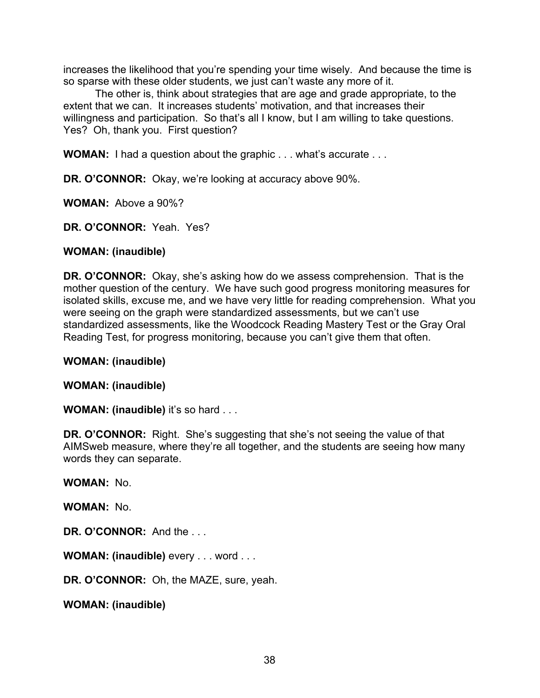increases the likelihood that you're spending your time wisely. And because the time is so sparse with these older students, we just can't waste any more of it.

The other is, think about strategies that are age and grade appropriate, to the extent that we can. It increases students' motivation, and that increases their willingness and participation. So that's all I know, but I am willing to take questions. Yes? Oh, thank you. First question?

**WOMAN:** I had a question about the graphic . . . what's accurate . . .

**DR. O'CONNOR:** Okay, we're looking at accuracy above 90%.

**WOMAN:** Above a 90%?

**DR. O'CONNOR:** Yeah. Yes?

### **WOMAN: (inaudible)**

**DR. O'CONNOR:** Okay, she's asking how do we assess comprehension. That is the mother question of the century. We have such good progress monitoring measures for isolated skills, excuse me, and we have very little for reading comprehension. What you were seeing on the graph were standardized assessments, but we can't use standardized assessments, like the Woodcock Reading Mastery Test or the Gray Oral Reading Test, for progress monitoring, because you can't give them that often.

**WOMAN: (inaudible)**

**WOMAN: (inaudible)**

**WOMAN: (inaudible)** it's so hard . . .

**DR. O'CONNOR:** Right. She's suggesting that she's not seeing the value of that AIMSweb measure, where they're all together, and the students are seeing how many words they can separate.

**WOMAN:** No.

**WOMAN:** No.

**DR. O'CONNOR:** And the . . .

**WOMAN: (inaudible)** every . . . word . . .

**DR. O'CONNOR:** Oh, the MAZE, sure, yeah.

**WOMAN: (inaudible)**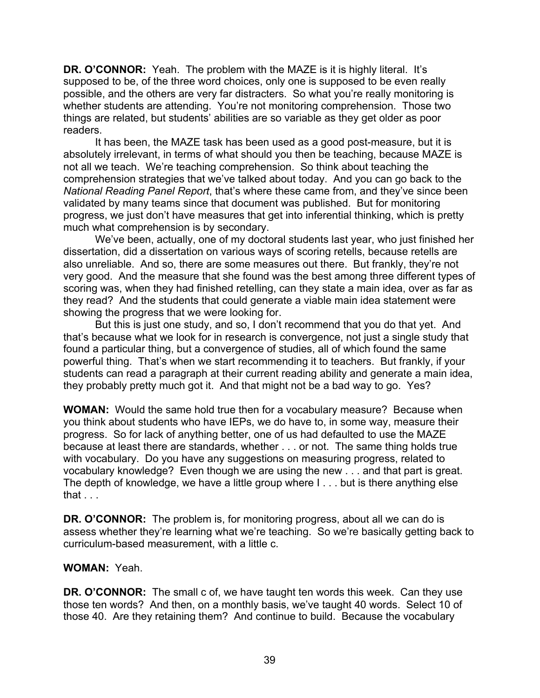**DR. O'CONNOR:** Yeah. The problem with the MAZE is it is highly literal. It's supposed to be, of the three word choices, only one is supposed to be even really possible, and the others are very far distracters. So what you're really monitoring is whether students are attending. You're not monitoring comprehension. Those two things are related, but students' abilities are so variable as they get older as poor readers.

It has been, the MAZE task has been used as a good post-measure, but it is absolutely irrelevant, in terms of what should you then be teaching, because MAZE is not all we teach. We're teaching comprehension. So think about teaching the comprehension strategies that we've talked about today. And you can go back to the *National Reading Panel Report*, that's where these came from, and they've since been validated by many teams since that document was published. But for monitoring progress, we just don't have measures that get into inferential thinking, which is pretty much what comprehension is by secondary.

We've been, actually, one of my doctoral students last year, who just finished her dissertation, did a dissertation on various ways of scoring retells, because retells are also unreliable. And so, there are some measures out there. But frankly, they're not very good. And the measure that she found was the best among three different types of scoring was, when they had finished retelling, can they state a main idea, over as far as they read? And the students that could generate a viable main idea statement were showing the progress that we were looking for.

But this is just one study, and so, I don't recommend that you do that yet. And that's because what we look for in research is convergence, not just a single study that found a particular thing, but a convergence of studies, all of which found the same powerful thing. That's when we start recommending it to teachers. But frankly, if your students can read a paragraph at their current reading ability and generate a main idea, they probably pretty much got it. And that might not be a bad way to go. Yes?

**WOMAN:** Would the same hold true then for a vocabulary measure? Because when you think about students who have IEPs, we do have to, in some way, measure their progress. So for lack of anything better, one of us had defaulted to use the MAZE because at least there are standards, whether . . . or not. The same thing holds true with vocabulary. Do you have any suggestions on measuring progress, related to vocabulary knowledge? Even though we are using the new . . . and that part is great. The depth of knowledge, we have a little group where I . . . but is there anything else that  $\ldots$ 

**DR. O'CONNOR:** The problem is, for monitoring progress, about all we can do is assess whether they're learning what we're teaching. So we're basically getting back to curriculum-based measurement, with a little c.

## **WOMAN:** Yeah.

**DR. O'CONNOR:** The small c of, we have taught ten words this week. Can they use those ten words? And then, on a monthly basis, we've taught 40 words. Select 10 of those 40. Are they retaining them? And continue to build. Because the vocabulary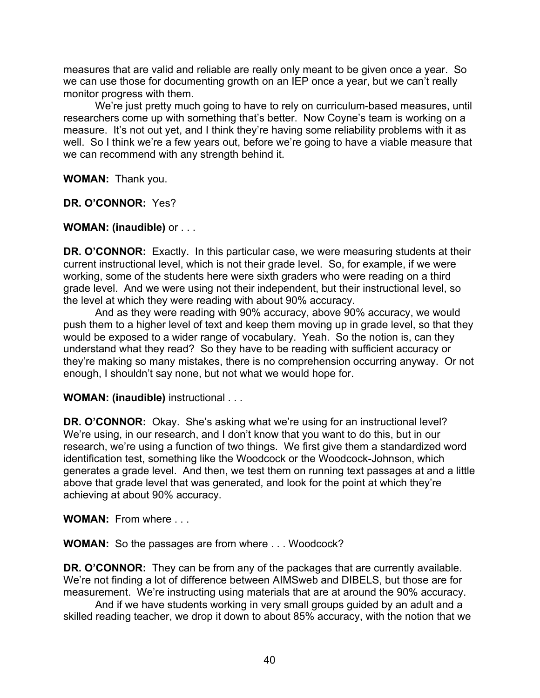measures that are valid and reliable are really only meant to be given once a year. So we can use those for documenting growth on an IEP once a year, but we can't really monitor progress with them.

We're just pretty much going to have to rely on curriculum-based measures, until researchers come up with something that's better. Now Coyne's team is working on a measure. It's not out yet, and I think they're having some reliability problems with it as well. So I think we're a few years out, before we're going to have a viable measure that we can recommend with any strength behind it.

**WOMAN:** Thank you.

**DR. O'CONNOR:** Yes?

### **WOMAN: (inaudible)** or . . .

**DR. O'CONNOR:** Exactly. In this particular case, we were measuring students at their current instructional level, which is not their grade level. So, for example, if we were working, some of the students here were sixth graders who were reading on a third grade level. And we were using not their independent, but their instructional level, so the level at which they were reading with about 90% accuracy.

And as they were reading with 90% accuracy, above 90% accuracy, we would push them to a higher level of text and keep them moving up in grade level, so that they would be exposed to a wider range of vocabulary. Yeah. So the notion is, can they understand what they read? So they have to be reading with sufficient accuracy or they're making so many mistakes, there is no comprehension occurring anyway. Or not enough, I shouldn't say none, but not what we would hope for.

## **WOMAN: (inaudible)** instructional . . .

**DR. O'CONNOR:** Okay. She's asking what we're using for an instructional level? We're using, in our research, and I don't know that you want to do this, but in our research, we're using a function of two things. We first give them a standardized word identification test, something like the Woodcock or the Woodcock-Johnson, which generates a grade level. And then, we test them on running text passages at and a little above that grade level that was generated, and look for the point at which they're achieving at about 90% accuracy.

**WOMAN:** From where . . .

**WOMAN:** So the passages are from where . . . Woodcock?

**DR. O'CONNOR:** They can be from any of the packages that are currently available. We're not finding a lot of difference between AIMSweb and DIBELS, but those are for measurement. We're instructing using materials that are at around the 90% accuracy.

And if we have students working in very small groups guided by an adult and a skilled reading teacher, we drop it down to about 85% accuracy, with the notion that we